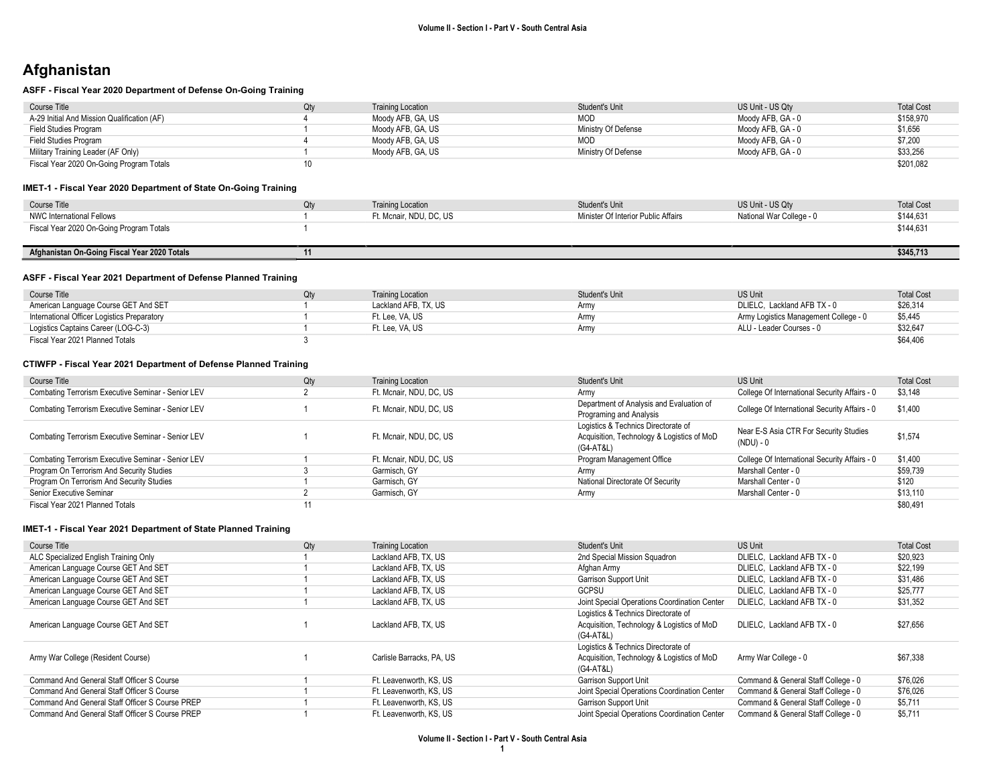# Afghanistan

#### ASFF - Fiscal Year 2020 Department of Defense On-Going Training

| Course Title                                | Qty | <b>Training Location</b> | Student's Unit      | US Unit - US Qtv  | <b>Total Cost</b> |
|---------------------------------------------|-----|--------------------------|---------------------|-------------------|-------------------|
| A-29 Initial And Mission Qualification (AF) |     | Moody AFB, GA, US        | <b>MOD</b>          | Moodv AFB. GA - 0 | \$158,970         |
| Field Studies Program                       |     | Moody AFB, GA, US        | Ministry Of Defense | Moodv AFB. GA - 0 | \$1,656           |
| Field Studies Program                       |     | Moody AFB, GA, US        | <b>MOD</b>          | Moodv AFB. GA - 0 | \$7,200           |
| Military Training Leader (AF Only)          |     | Moody AFB, GA, US        | Ministry Of Defense | Moody AFB, GA - 0 | \$33,256          |
| Fiscal Year 2020 On-Going Program Totals    |     |                          |                     |                   | \$201,082         |

#### IMET-1 - Fiscal Year 2020 Department of State On-Going Training

| Course Title                             | <b>Training Location</b> | Student's Unit                      | US Unit - US Qty         | <b>Total Cost</b> |
|------------------------------------------|--------------------------|-------------------------------------|--------------------------|-------------------|
| NWC International Fellows                | Ft. Mcnair, NDU, DC, US  | Minister Of Interior Public Affairs | National War College - 0 | \$144,631         |
| Fiscal Year 2020 On-Going Program Totals |                          |                                     |                          | \$144,631         |
|                                          |                          |                                     |                          |                   |

### Afghanistan On-Going Fiscal Year 2020 Totals 11 \$345,713

#### ASFF - Fiscal Year 2021 Department of Defense Planned Training

| Course Title                                | <b>Training Location</b> | Student's Unit | <b>US Unit</b>                        | <b>Total Cost</b> |
|---------------------------------------------|--------------------------|----------------|---------------------------------------|-------------------|
| American Language Course GET And SET        | Lackland AFB, TX, US     | Armv           | DLIELC. Lackland AFB TX - 0           | \$26,314          |
| International Officer Logistics Preparatory | Ft. Lee. VA. US          | Army           | Army Logistics Management College - 0 | \$5,445           |
| Logistics Captains Career (LOG-C-3)         | Ft. Lee. VA. US          | Army           | ALU - Leader Courses - 0              | \$32,647          |
| Fiscal Year 2021 Planned Totals             |                          |                |                                       | \$64,406          |

#### CTIWFP - Fiscal Year 2021 Department of Defense Planned Training

| Course Title                                       | Qty | <b>Training Location</b> | Student's Unit                                                                                 | US Unit                                             | <b>Total Cost</b> |
|----------------------------------------------------|-----|--------------------------|------------------------------------------------------------------------------------------------|-----------------------------------------------------|-------------------|
| Combating Terrorism Executive Seminar - Senior LEV |     | Ft. Mcnair, NDU, DC, US  | Army                                                                                           | College Of International Security Affairs - 0       | \$3,148           |
| Combating Terrorism Executive Seminar - Senior LEV |     | Ft. Mcnair, NDU, DC, US  | Department of Analysis and Evaluation of<br>Programing and Analysis                            | College Of International Security Affairs - 0       | \$1,400           |
| Combating Terrorism Executive Seminar - Senior LEV |     | Ft. Mcnair, NDU, DC, US  | Logistics & Technics Directorate of<br>Acquisition, Technology & Logistics of MoD<br>(G4-AT&L) | Near E-S Asia CTR For Security Studies<br>(NDU) - 0 | \$1,574           |
| Combating Terrorism Executive Seminar - Senior LEV |     | Ft. Mcnair, NDU, DC, US  | Program Management Office                                                                      | College Of International Security Affairs - 0       | \$1,400           |
| Program On Terrorism And Security Studies          |     | Garmisch, GY             | Army                                                                                           | Marshall Center - 0                                 | \$59.739          |
| Program On Terrorism And Security Studies          |     | Garmisch, GY             | National Directorate Of Security                                                               | Marshall Center - 0                                 | \$120             |
| Senior Executive Seminar                           |     | Garmisch, GY             | Army                                                                                           | Marshall Center - 0                                 | \$13.110          |
| Fiscal Year 2021 Planned Totals                    |     |                          |                                                                                                |                                                     | \$80,491          |

| Course Title                                    | Qty | <b>Training Location</b>  | Student's Unit                               | <b>US Unit</b>                      | <b>Total Cost</b> |
|-------------------------------------------------|-----|---------------------------|----------------------------------------------|-------------------------------------|-------------------|
| ALC Specialized English Training Only           |     | Lackland AFB, TX, US      | 2nd Special Mission Squadron                 | DLIELC. Lackland AFB TX - 0         | \$20,923          |
| American Language Course GET And SET            |     | Lackland AFB, TX, US      | Afghan Army                                  | DLIELC. Lackland AFB TX - 0         | \$22,199          |
| American Language Course GET And SET            |     | Lackland AFB, TX, US      | Garrison Support Unit                        | DLIELC. Lackland AFB TX - 0         | \$31,486          |
| American Language Course GET And SET            |     | Lackland AFB, TX, US      | GCPSU                                        | DLIELC. Lackland AFB TX - 0         | \$25,777          |
| American Language Course GET And SET            |     | Lackland AFB, TX, US      | Joint Special Operations Coordination Center | DLIELC. Lackland AFB TX - 0         | \$31,352          |
|                                                 |     |                           | Logistics & Technics Directorate of          |                                     |                   |
| American Language Course GET And SET            |     | Lackland AFB, TX, US      | Acquisition, Technology & Logistics of MoD   | DLIELC. Lackland AFB TX - 0         | \$27,656          |
|                                                 |     |                           | (G4-AT&L)                                    |                                     |                   |
|                                                 |     |                           | Logistics & Technics Directorate of          |                                     |                   |
| Army War College (Resident Course)              |     | Carlisle Barracks, PA, US | Acquisition, Technology & Logistics of MoD   | Army War College - 0                | \$67.338          |
|                                                 |     |                           | (G4-AT&L)                                    |                                     |                   |
| Command And General Staff Officer S Course      |     | Ft. Leavenworth, KS, US   | Garrison Support Unit                        | Command & General Staff College - 0 | \$76,026          |
| Command And General Staff Officer S Course      |     | Ft. Leavenworth, KS, US   | Joint Special Operations Coordination Center | Command & General Staff College - 0 | \$76.026          |
| Command And General Staff Officer S Course PREP |     | Ft. Leavenworth, KS, US   | Garrison Support Unit                        | Command & General Staff College - 0 | \$5,711           |
| Command And General Staff Officer S Course PREP |     | Ft. Leavenworth, KS, US   | Joint Special Operations Coordination Center | Command & General Staff College - 0 | \$5,711           |
|                                                 |     |                           |                                              |                                     |                   |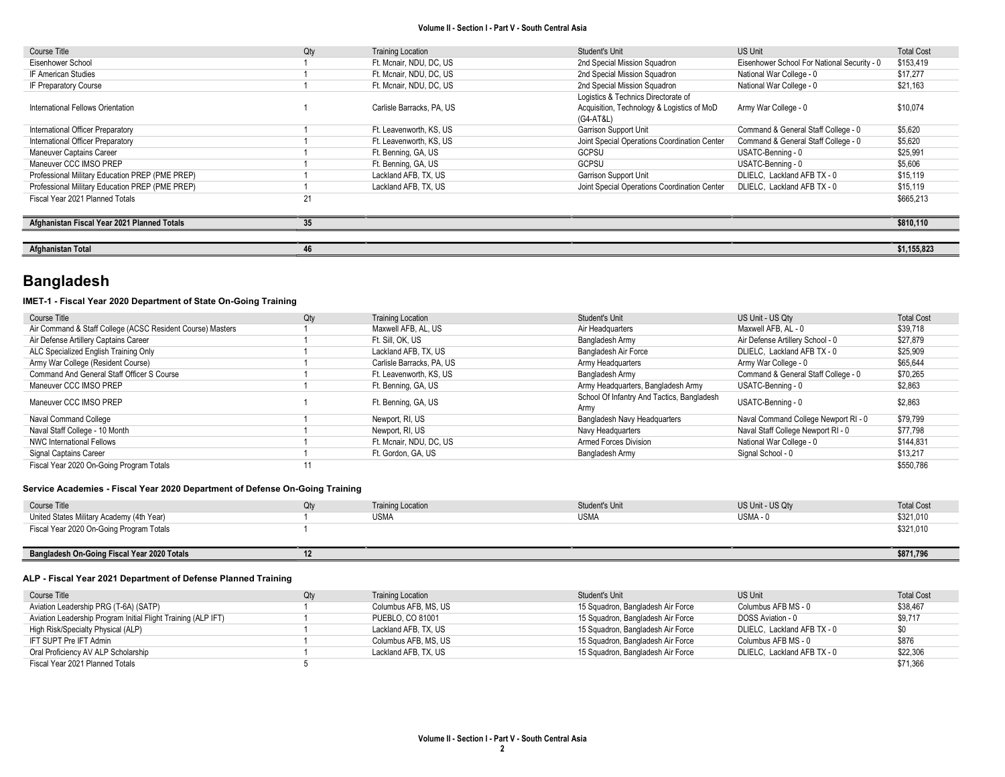| Course Title                                    | Qty | <b>Training Location</b>  | Student's Unit                               | US Unit                                     | <b>Total Cost</b> |
|-------------------------------------------------|-----|---------------------------|----------------------------------------------|---------------------------------------------|-------------------|
|                                                 |     |                           |                                              |                                             |                   |
| Eisenhower School                               |     | Ft. Mcnair, NDU, DC, US   | 2nd Special Mission Squadron                 | Eisenhower School For National Security - 0 | \$153,419         |
| IF American Studies                             |     | Ft. Mcnair, NDU, DC, US   | 2nd Special Mission Squadron                 | National War College - 0                    | \$17,277          |
| IF Preparatory Course                           |     | Ft. Mcnair, NDU, DC, US   | 2nd Special Mission Squadron                 | National War College - 0                    | \$21,163          |
|                                                 |     |                           | Logistics & Technics Directorate of          |                                             |                   |
| International Fellows Orientation               |     | Carlisle Barracks, PA, US | Acquisition, Technology & Logistics of MoD   | Army War College - 0                        | \$10,074          |
|                                                 |     |                           | (G4-AT&L)                                    |                                             |                   |
| International Officer Preparatory               |     | Ft. Leavenworth, KS, US   | <b>Garrison Support Unit</b>                 | Command & General Staff College - 0         | \$5,620           |
| International Officer Preparatory               |     | Ft. Leavenworth, KS, US   | Joint Special Operations Coordination Center | Command & General Staff College - 0         | \$5,620           |
| Maneuver Captains Career                        |     | Ft. Benning, GA, US       | <b>GCPSU</b>                                 | USATC-Benning - 0                           | \$25,991          |
| Maneuver CCC IMSO PREP                          |     | Ft. Benning, GA, US       | <b>GCPSU</b>                                 | USATC-Benning - 0                           | \$5,606           |
| Professional Military Education PREP (PME PREP) |     | Lackland AFB, TX, US      | <b>Garrison Support Unit</b>                 | DLIELC, Lackland AFB TX - 0                 | \$15,119          |
| Professional Military Education PREP (PME PREP) |     | Lackland AFB, TX, US      | Joint Special Operations Coordination Center | DLIELC. Lackland AFB TX - 0                 | \$15,119          |
| Fiscal Year 2021 Planned Totals                 | 21  |                           |                                              |                                             | \$665,213         |
|                                                 |     |                           |                                              |                                             |                   |
| Afghanistan Fiscal Year 2021 Planned Totals     | 35  |                           |                                              |                                             | \$810,110         |
|                                                 |     |                           |                                              |                                             |                   |
| Afghanistan Total                               | 46  |                           |                                              |                                             | \$1,155,823       |

# Bangladesh

### IMET-1 - Fiscal Year 2020 Department of State On-Going Training

| Course Title                                               | Qty | <b>Training Location</b>  | Student's Unit                             | US Unit - US Qtv                     | <b>Total Cost</b> |
|------------------------------------------------------------|-----|---------------------------|--------------------------------------------|--------------------------------------|-------------------|
| Air Command & Staff College (ACSC Resident Course) Masters |     | Maxwell AFB, AL, US       | Air Headquarters                           | Maxwell AFB, AL - 0                  | \$39,718          |
| Air Defense Artillery Captains Career                      |     | Ft. Sill. OK. US          | Bangladesh Army                            | Air Defense Artillery School - 0     | \$27,879          |
| ALC Specialized English Training Only                      |     | Lackland AFB, TX, US      | Bangladesh Air Force                       | DLIELC. Lackland AFB TX - 0          | \$25,909          |
| Army War College (Resident Course)                         |     | Carlisle Barracks, PA, US | Army Headquarters                          | Army War College - 0                 | \$65,644          |
| Command And General Staff Officer S Course                 |     | Ft. Leavenworth, KS, US   | Bangladesh Army                            | Command & General Staff College - 0  | \$70,265          |
| Maneuver CCC IMSO PREP                                     |     | Ft. Benning, GA, US       | Army Headquarters, Bangladesh Army         | USATC-Benning - 0                    | \$2,863           |
| Maneuver CCC IMSO PREP                                     |     | Ft. Benning, GA, US       | School Of Infantry And Tactics, Bangladesh | USATC-Benning - 0                    | \$2,863           |
|                                                            |     |                           | Army                                       |                                      |                   |
| Naval Command College                                      |     | Newport, RI, US           | Bangladesh Navy Headquarters               | Naval Command College Newport RI - 0 | \$79,799          |
| Naval Staff College - 10 Month                             |     | Newport, RI, US           | Navy Headquarters                          | Naval Staff College Newport RI - 0   | \$77,798          |
| <b>NWC International Fellows</b>                           |     | Ft. Mcnair, NDU, DC, US   | Armed Forces Division                      | National War College - 0             | \$144,831         |
| Signal Captains Career                                     |     | Ft. Gordon, GA, US        | Bangladesh Army                            | Signal School - 0                    | \$13,217          |
| Fiscal Year 2020 On-Going Program Totals                   |     |                           |                                            |                                      | \$550,786         |

#### Service Academies - Fiscal Year 2020 Department of Defense On-Going Training

| Course Title                                | Qtv | <b>Training Location</b> | <b>Student's Unit</b> | US Unit - US Qtv | <b>Total Cost</b> |
|---------------------------------------------|-----|--------------------------|-----------------------|------------------|-------------------|
| United States Military Academy (4th Year)   |     | <b>USMA</b>              | <b>USMA</b>           | USMA - 0         | \$321,010         |
| Fiscal Year 2020 On-Going Program Totals    |     |                          |                       |                  | \$321,010         |
|                                             |     |                          |                       |                  |                   |
| Bangladesh On-Going Fiscal Year 2020 Totals |     |                          |                       |                  | \$871,796         |

### ALP - Fiscal Year 2021 Department of Defense Planned Training

| Course Title                                                  | Qty | <b>Training Location</b> | Student's Unit                    | US Unit                     | <b>Total Cost</b> |
|---------------------------------------------------------------|-----|--------------------------|-----------------------------------|-----------------------------|-------------------|
| Aviation Leadership PRG (T-6A) (SATP)                         |     | Columbus AFB, MS, US     | 15 Squadron, Bangladesh Air Force | Columbus AFB MS - 0         | \$38,467          |
| Aviation Leadership Program Initial Flight Training (ALP IFT) |     | PUEBLO, CO 81001         | 15 Squadron, Bangladesh Air Force | DOSS Aviation - 0           | \$9,717           |
| High Risk/Specialty Physical (ALP)                            |     | Lackland AFB, TX, US     | 15 Squadron, Bangladesh Air Force | DLIELC, Lackland AFB TX - 0 | \$0               |
| IFT SUPT Pre IFT Admin                                        |     | Columbus AFB. MS. US     | 15 Squadron, Bangladesh Air Force | Columbus AFB MS - 0         | \$876             |
| Oral Proficiency AV ALP Scholarship                           |     | Lackland AFB. TX. US     | 15 Squadron, Bangladesh Air Force | DLIELC, Lackland AFB TX - 0 | \$22,306          |
| Fiscal Year 2021 Planned Totals                               |     |                          |                                   |                             | \$71.366          |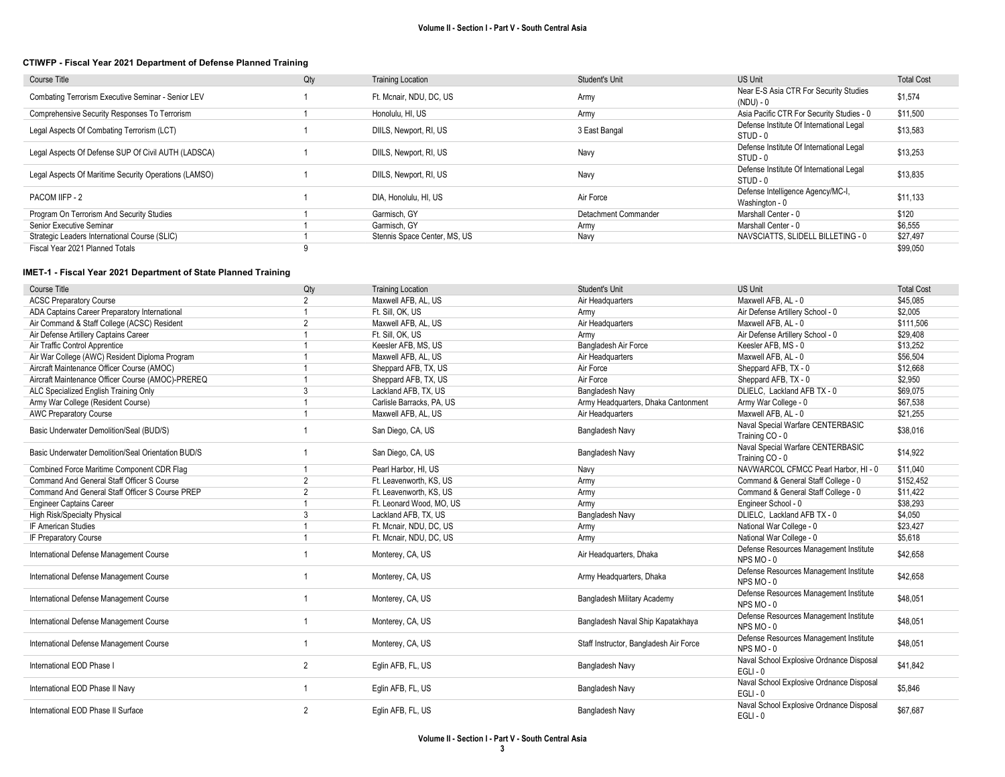#### CTIWFP - Fiscal Year 2021 Department of Defense Planned Training

| Course Title                                          | Qty | <b>Training Location</b>     | <b>Student's Unit</b> | <b>US Unit</b>                                         | <b>Total Cost</b> |
|-------------------------------------------------------|-----|------------------------------|-----------------------|--------------------------------------------------------|-------------------|
| Combating Terrorism Executive Seminar - Senior LEV    |     | Ft. Mcnair, NDU, DC, US      | Army                  | Near E-S Asia CTR For Security Studies<br>(NDU) - 0    | \$1,574           |
| Comprehensive Security Responses To Terrorism         |     | Honolulu, HI, US             | Army                  | Asia Pacific CTR For Security Studies - 0              | \$11.500          |
| Legal Aspects Of Combating Terrorism (LCT)            |     | DIILS, Newport, RI, US       | 3 East Bangal         | Defense Institute Of International Legal<br>STUD - 0   | \$13,583          |
| Legal Aspects Of Defense SUP Of Civil AUTH (LADSCA)   |     | DIILS, Newport, RI, US       | Navy                  | Defense Institute Of International Legal<br>STUD - 0   | \$13.253          |
| Legal Aspects Of Maritime Security Operations (LAMSO) |     | DIILS, Newport, RI, US       | Navy                  | Defense Institute Of International Legal<br>$STUD - 0$ | \$13,835          |
| PACOM IIFP - 2                                        |     | DIA, Honolulu, HI, US        | Air Force             | Defense Intelligence Agency/MC-I,<br>Washington - 0    | \$11,133          |
| Program On Terrorism And Security Studies             |     | Garmisch, GY                 | Detachment Commander  | Marshall Center - 0                                    | \$120             |
| Senior Executive Seminar                              |     | Garmisch, GY                 | Army                  | Marshall Center - 0                                    | \$6,555           |
| Strategic Leaders International Course (SLIC)         |     | Stennis Space Center, MS, US | Navy                  | NAVSCIATTS, SLIDELL BILLETING - 0                      | \$27,497          |
| Fiscal Year 2021 Planned Totals                       |     |                              |                       |                                                        | \$99,050          |

| Course Title                                       | Qty            | <b>Training Location</b>  | Student's Unit                         | <b>US Unit</b>                                         | <b>Total Cost</b> |
|----------------------------------------------------|----------------|---------------------------|----------------------------------------|--------------------------------------------------------|-------------------|
| <b>ACSC Preparatory Course</b>                     | $\overline{2}$ | Maxwell AFB, AL, US       | Air Headquarters                       | Maxwell AFB, AL - 0                                    | \$45.085          |
| ADA Captains Career Preparatory International      |                | Ft. Sill, OK, US          | Army                                   | Air Defense Artillery School - 0                       | \$2,005           |
| Air Command & Staff College (ACSC) Resident        | $\overline{2}$ | Maxwell AFB, AL, US       | Air Headquarters                       | Maxwell AFB, AL - 0                                    | \$111.506         |
| Air Defense Artillery Captains Career              |                | Ft. Sill. OK. US          | Army                                   | Air Defense Artillery School - 0                       | \$29,408          |
| Air Traffic Control Apprentice                     |                | Keesler AFB, MS, US       | Bangladesh Air Force                   | Keesler AFB, MS - 0                                    | \$13,252          |
| Air War College (AWC) Resident Diploma Program     |                | Maxwell AFB, AL, US       | Air Headquarters                       | Maxwell AFB, AL - 0                                    | \$56,504          |
| Aircraft Maintenance Officer Course (AMOC)         |                | Sheppard AFB, TX, US      | Air Force                              | Sheppard AFB, TX - 0                                   | \$12,668          |
| Aircraft Maintenance Officer Course (AMOC)-PREREQ  |                | Sheppard AFB, TX, US      | Air Force                              | Sheppard AFB, TX - 0                                   | \$2,950           |
| ALC Specialized English Training Only              | 3              | Lackland AFB, TX, US      | Bangladesh Navy                        | DLIELC. Lackland AFB TX - 0                            | \$69.075          |
| Army War College (Resident Course)                 |                | Carlisle Barracks, PA, US | Army Headquarters, Dhaka Cantonment    | Army War College - 0                                   | \$67,538          |
| <b>AWC Preparatory Course</b>                      |                | Maxwell AFB, AL, US       | Air Headquarters                       | Maxwell AFB, AL - 0                                    | \$21,255          |
| Basic Underwater Demolition/Seal (BUD/S)           |                | San Diego, CA, US         | Bangladesh Navy                        | Naval Special Warfare CENTERBASIC<br>Training CO - 0   | \$38,016          |
| Basic Underwater Demolition/Seal Orientation BUD/S |                | San Diego, CA, US         | Bangladesh Navy                        | Naval Special Warfare CENTERBASIC<br>Training CO - 0   | \$14,922          |
| Combined Force Maritime Component CDR Flag         | $\overline{1}$ | Pearl Harbor, HI, US      | Navy                                   | NAVWARCOL CFMCC Pearl Harbor, HI - 0                   | \$11.040          |
| Command And General Staff Officer S Course         | $\overline{2}$ | Ft. Leavenworth, KS, US   | Army                                   | Command & General Staff College - 0                    | \$152,452         |
| Command And General Staff Officer S Course PREP    | 2              | Ft. Leavenworth, KS, US   | Army                                   | Command & General Staff College - 0                    | \$11,422          |
| <b>Engineer Captains Career</b>                    |                | Ft. Leonard Wood, MO, US  | Army                                   | Engineer School - 0                                    | \$38,293          |
| High Risk/Specialty Physical                       | 3              | Lackland AFB, TX, US      | Bangladesh Navy                        | DLIELC, Lackland AFB TX - 0                            | \$4,050           |
| <b>IF American Studies</b>                         |                | Ft. Mcnair, NDU, DC, US   | Army                                   | National War College - 0                               | \$23,427          |
| IF Preparatory Course                              |                | Ft. Mcnair, NDU, DC, US   | Army                                   | National War College - 0                               | \$5,618           |
| International Defense Management Course            |                | Monterey, CA, US          | Air Headquarters, Dhaka                | Defense Resources Management Institute<br>NPS MO-0     | \$42,658          |
| International Defense Management Course            |                | Monterey, CA, US          | Army Headquarters, Dhaka               | Defense Resources Management Institute<br>NPS MO-0     | \$42,658          |
| International Defense Management Course            |                | Monterey, CA, US          | Bangladesh Military Academy            | Defense Resources Management Institute<br>NPS MO-0     | \$48,051          |
| International Defense Management Course            |                | Monterey, CA, US          | Bangladesh Naval Ship Kapatakhaya      | Defense Resources Management Institute<br>NPS MO-0     | \$48,051          |
| International Defense Management Course            |                | Monterey, CA, US          | Staff Instructor, Bangladesh Air Force | Defense Resources Management Institute<br>NPS MO-0     | \$48,051          |
| International EOD Phase I                          | 2              | Eglin AFB, FL, US         | Bangladesh Navy                        | Naval School Explosive Ordnance Disposal<br>$EGLI - 0$ | \$41,842          |
| International EOD Phase II Navy                    |                | Eglin AFB, FL, US         | Bangladesh Navy                        | Naval School Explosive Ordnance Disposal<br>$EGLI - 0$ | \$5,846           |
| International EOD Phase II Surface                 | $\overline{2}$ | Eglin AFB, FL, US         | Bangladesh Navy                        | Naval School Explosive Ordnance Disposal<br>$EGLI - 0$ | \$67,687          |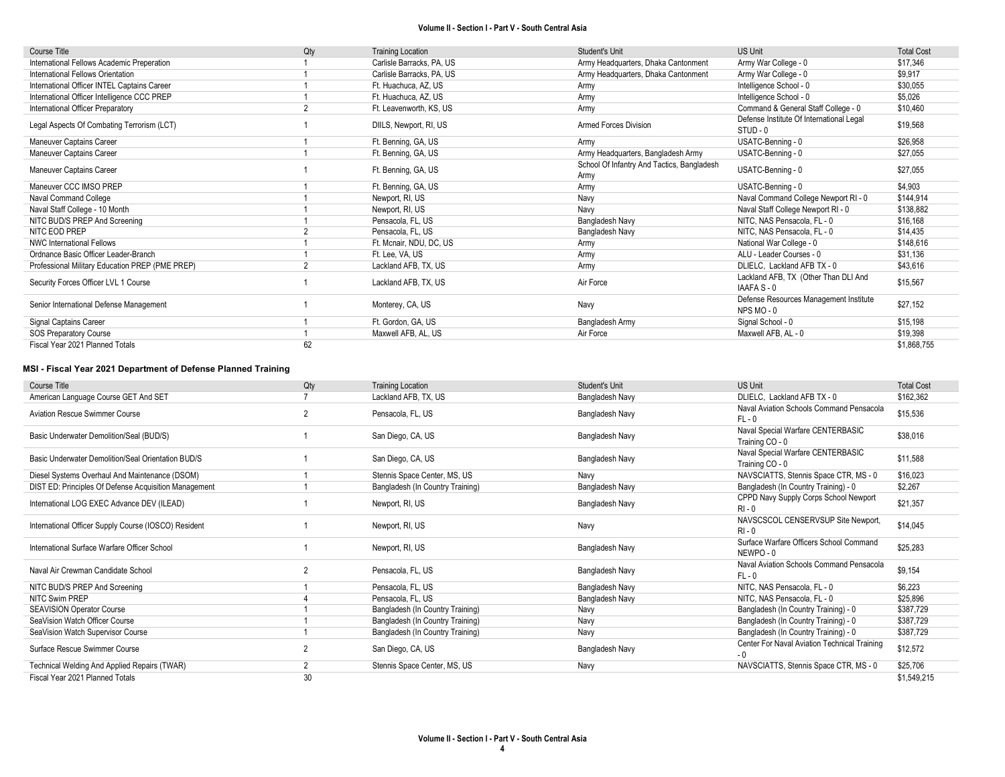| <b>Course Title</b>                             | Qty      | <b>Training Location</b>  | Student's Unit                                     | <b>US Unit</b>                                       | <b>Total Cost</b> |
|-------------------------------------------------|----------|---------------------------|----------------------------------------------------|------------------------------------------------------|-------------------|
| International Fellows Academic Preperation      |          | Carlisle Barracks, PA, US | Army Headquarters, Dhaka Cantonment                | Army War College - 0                                 | \$17,346          |
| International Fellows Orientation               |          | Carlisle Barracks, PA, US | Army Headquarters, Dhaka Cantonment                | Army War College - 0                                 | \$9,917           |
| International Officer INTEL Captains Career     |          | Ft. Huachuca, AZ, US      | Army                                               | Intelligence School - 0                              | \$30,055          |
| International Officer Intelligence CCC PREP     |          | Ft. Huachuca, AZ, US      | Army                                               | Intelligence School - 0                              | \$5,026           |
| International Officer Preparatory               |          | Ft. Leavenworth, KS, US   | Army                                               | Command & General Staff College - 0                  | \$10,460          |
| Legal Aspects Of Combating Terrorism (LCT)      |          | DIILS, Newport, RI, US    | <b>Armed Forces Division</b>                       | Defense Institute Of International Legal<br>STUD - 0 | \$19,568          |
| Maneuver Captains Career                        |          | Ft. Benning, GA, US       | Army                                               | USATC-Benning - 0                                    | \$26,958          |
| Maneuver Captains Career                        |          | Ft. Benning, GA, US       | Army Headquarters, Bangladesh Army                 | USATC-Benning - 0                                    | \$27,055          |
| Maneuver Captains Career                        |          | Ft. Benning, GA, US       | School Of Infantry And Tactics, Bangladesh<br>Army | USATC-Benning - 0                                    | \$27,055          |
| Maneuver CCC IMSO PREP                          |          | Ft. Benning, GA, US       | Army                                               | USATC-Benning - 0                                    | \$4,903           |
| Naval Command College                           |          | Newport, RI, US           | Navy                                               | Naval Command College Newport RI - 0                 | \$144,914         |
| Naval Staff College - 10 Month                  |          | Newport, RI, US           | Navy                                               | Naval Staff College Newport RI - 0                   | \$138,882         |
| NITC BUD/S PREP And Screening                   |          | Pensacola, FL, US         | Bangladesh Navy                                    | NITC, NAS Pensacola, FL - 0                          | \$16,168          |
| NITC EOD PREP                                   |          | Pensacola, FL, US         | Bangladesh Navy                                    | NITC, NAS Pensacola, FL - 0                          | \$14,435          |
| <b>NWC International Fellows</b>                |          | Ft. Mcnair, NDU, DC, US   | Army                                               | National War College - 0                             | \$148,616         |
| Ordnance Basic Officer Leader-Branch            |          | Ft. Lee, VA, US           | Army                                               | ALU - Leader Courses - 0                             | \$31,136          |
| Professional Military Education PREP (PME PREP) | $\Omega$ | Lackland AFB, TX, US      | Army                                               | DLIELC, Lackland AFB TX - 0                          | \$43,616          |
| Security Forces Officer LVL 1 Course            |          | Lackland AFB, TX, US      | Air Force                                          | Lackland AFB, TX (Other Than DLI And<br>IAAFA S - 0  | \$15,567          |
| Senior International Defense Management         |          | Monterey, CA, US          | Navy                                               | Defense Resources Management Institute<br>NPS MO-0   | \$27,152          |
| Signal Captains Career                          |          | Ft. Gordon, GA, US        | Bangladesh Army                                    | Signal School - 0                                    | \$15,198          |
| <b>SOS Preparatory Course</b>                   |          | Maxwell AFB, AL, US       | Air Force                                          | Maxwell AFB, AL - 0                                  | \$19,398          |
| Fiscal Year 2021 Planned Totals                 |          |                           |                                                    |                                                      |                   |

#### MSI - Fiscal Year 2021 Department of Defense Planned Training

| <b>Course Title</b>                                   | Qty            | <b>Training Location</b>         | Student's Unit  | <b>US Unit</b>                                       | <b>Total Cost</b> |
|-------------------------------------------------------|----------------|----------------------------------|-----------------|------------------------------------------------------|-------------------|
| American Language Course GET And SET                  |                | Lackland AFB, TX, US             | Bangladesh Navy | DLIELC, Lackland AFB TX - 0                          | \$162,362         |
| <b>Aviation Rescue Swimmer Course</b>                 | $\overline{2}$ | Pensacola, FL, US                | Bangladesh Navy | Naval Aviation Schools Command Pensacola<br>$FL - 0$ | \$15,536          |
| Basic Underwater Demolition/Seal (BUD/S)              |                | San Diego, CA, US                | Bangladesh Navy | Naval Special Warfare CENTERBASIC<br>Training CO - 0 | \$38,016          |
| Basic Underwater Demolition/Seal Orientation BUD/S    |                | San Diego, CA, US                | Bangladesh Navy | Naval Special Warfare CENTERBASIC<br>Training CO - 0 | \$11,588          |
| Diesel Systems Overhaul And Maintenance (DSOM)        |                | Stennis Space Center, MS, US     | Navy            | NAVSCIATTS, Stennis Space CTR, MS - 0                | \$16,023          |
| DIST ED: Principles Of Defense Acquisition Management |                | Bangladesh (In Country Training) | Bangladesh Navy | Bangladesh (In Country Training) - 0                 | \$2,267           |
| International LOG EXEC Advance DEV (ILEAD)            |                | Newport, RI, US                  | Bangladesh Navy | CPPD Navy Supply Corps School Newport<br>$RI - 0$    | \$21,357          |
| International Officer Supply Course (IOSCO) Resident  |                | Newport, RI, US                  | Navy            | NAVSCSCOL CENSERVSUP Site Newport.<br>$RI - 0$       | \$14,045          |
| International Surface Warfare Officer School          |                | Newport, RI, US                  | Bangladesh Navy | Surface Warfare Officers School Command<br>NEWPO-0   | \$25,283          |
| Naval Air Crewman Candidate School                    | $\overline{2}$ | Pensacola, FL, US                | Bangladesh Navy | Naval Aviation Schools Command Pensacola<br>$FL - 0$ | \$9,154           |
| NITC BUD/S PREP And Screening                         |                | Pensacola, FL, US                | Bangladesh Navy | NITC, NAS Pensacola, FL - 0                          | \$6,223           |
| <b>NITC Swim PREP</b>                                 |                | Pensacola, FL, US                | Bangladesh Navy | NITC. NAS Pensacola. FL - 0                          | \$25,896          |
| <b>SEAVISION Operator Course</b>                      |                | Bangladesh (In Country Training) | Navy            | Bangladesh (In Country Training) - 0                 | \$387,729         |
| SeaVision Watch Officer Course                        |                | Bangladesh (In Country Training) | Navy            | Bangladesh (In Country Training) - 0                 | \$387,729         |
| SeaVision Watch Supervisor Course                     |                | Bangladesh (In Country Training) | Navy            | Bangladesh (In Country Training) - 0                 | \$387,729         |
| Surface Rescue Swimmer Course                         | $\overline{2}$ | San Diego, CA, US                | Bangladesh Navy | Center For Naval Aviation Technical Training<br>$-0$ | \$12,572          |
| Technical Welding And Applied Repairs (TWAR)          | $\overline{2}$ | Stennis Space Center, MS, US     | Navy            | NAVSCIATTS, Stennis Space CTR, MS - 0                | \$25,706          |
| Fiscal Year 2021 Planned Totals                       | 30             |                                  |                 |                                                      | \$1,549,215       |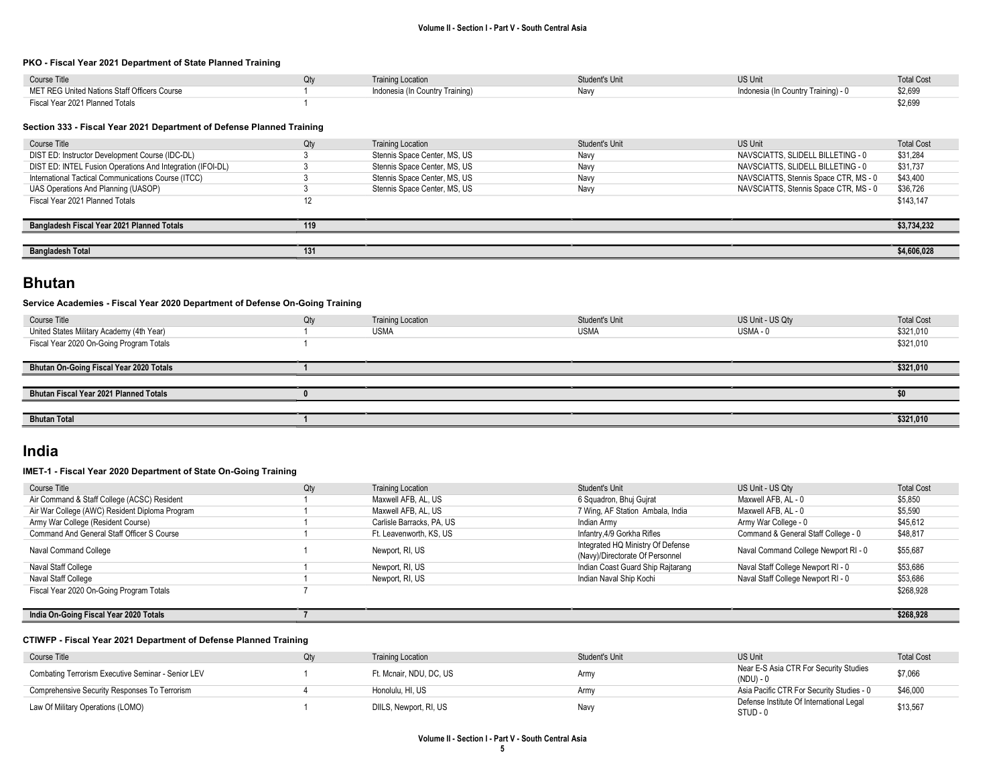#### PKO - Fiscal Year 2021 Department of State Planned Training

| Course Title                                 | <b>Training Location</b>        | Student's Unit | <b>US Unit</b>                      | <b>Total Cost</b> |
|----------------------------------------------|---------------------------------|----------------|-------------------------------------|-------------------|
| MET REG United Nations Staff Officers Course | Indonesia (In Country Training) | Navv           | Indonesia (In Country Training) - 0 | \$2,699           |
| Fiscal Year 2021 Planned Totals              |                                 |                |                                     | \$2,699           |

#### Section 333 - Fiscal Year 2021 Department of Defense Planned Training

| Course Title                                               | Qtv | <b>Training Location</b>     | Student's Unit | US Unit                               | <b>Total Cost</b> |
|------------------------------------------------------------|-----|------------------------------|----------------|---------------------------------------|-------------------|
| DIST ED: Instructor Development Course (IDC-DL)            |     | Stennis Space Center, MS, US | Navv           | NAVSCIATTS, SLIDELL BILLETING - 0     | \$31,284          |
| DIST ED: INTEL Fusion Operations And Integration (IFOI-DL) |     | Stennis Space Center, MS, US | Navv           | NAVSCIATTS, SLIDELL BILLETING - 0     | \$31,737          |
| International Tactical Communications Course (ITCC)        |     | Stennis Space Center, MS, US | Navv           | NAVSCIATTS, Stennis Space CTR, MS - 0 | \$43,400          |
| UAS Operations And Planning (UASOP)                        |     | Stennis Space Center, MS, US | Navv           | NAVSCIATTS, Stennis Space CTR, MS - 0 | \$36,726          |
| Fiscal Year 2021 Planned Totals                            |     |                              |                |                                       | \$143,147         |
|                                                            |     |                              |                |                                       |                   |
| Bangladesh Fiscal Year 2021 Planned Totals                 | 119 |                              |                |                                       | \$3,734,232       |
|                                                            |     |                              |                |                                       |                   |
| <b>Bangladesh Total</b>                                    | 131 |                              |                |                                       | \$4,606,028       |
|                                                            |     |                              |                |                                       |                   |

### Bhutan

#### Service Academies - Fiscal Year 2020 Department of Defense On-Going Training

| Course Title                              | Qty | <b>Training Location</b> | Student's Unit | US Unit - US Qty | <b>Total Cost</b> |
|-------------------------------------------|-----|--------------------------|----------------|------------------|-------------------|
| United States Military Academy (4th Year) |     | <b>USMA</b>              | USMA           | USMA - 0         | \$321,010         |
| Fiscal Year 2020 On-Going Program Totals  |     |                          |                |                  | \$321,010         |
|                                           |     |                          |                |                  |                   |
| Bhutan On-Going Fiscal Year 2020 Totals   |     |                          |                |                  | \$321,010         |
|                                           |     |                          |                |                  |                   |
| Bhutan Fiscal Year 2021 Planned Totals    |     |                          |                |                  |                   |
|                                           |     |                          |                |                  |                   |
| <b>Bhutan Total</b>                       |     |                          |                |                  | \$321,010         |
|                                           |     |                          |                |                  |                   |

### India

#### IMET-1 - Fiscal Year 2020 Department of State On-Going Training

| Course Title                                   | Qty | <b>Training Location</b>  | Student's Unit                    | US Unit - US Qty                     | <b>Total Cost</b> |
|------------------------------------------------|-----|---------------------------|-----------------------------------|--------------------------------------|-------------------|
| Air Command & Staff College (ACSC) Resident    |     | Maxwell AFB, AL, US       | 6 Squadron, Bhuj Gujrat           | Maxwell AFB, AL - 0                  | \$5,850           |
| Air War College (AWC) Resident Diploma Program |     | Maxwell AFB, AL, US       | 7 Wing, AF Station Ambala, India  | Maxwell AFB. AL - 0                  | \$5,590           |
| Army War College (Resident Course)             |     | Carlisle Barracks, PA, US | Indian Army                       | Army War College - 0                 | \$45,612          |
| Command And General Staff Officer S Course     |     | Ft. Leavenworth, KS, US   | Infantry, 4/9 Gorkha Rifles       | Command & General Staff College - 0  | \$48,817          |
|                                                |     |                           | Integrated HQ Ministry Of Defense | Naval Command College Newport RI - 0 | \$55,687          |
| Naval Command College                          |     | Newport, RI, US           | (Navy)/Directorate Of Personnel   |                                      |                   |
| Naval Staff College                            |     | Newport, RI, US           | Indian Coast Guard Ship Rajtarang | Naval Staff College Newport RI - 0   | \$53,686          |
| Naval Staff College                            |     | Newport, RI, US           | Indian Naval Ship Kochi           | Naval Staff College Newport RI - 0   | \$53,686          |
| Fiscal Year 2020 On-Going Program Totals       |     |                           |                                   |                                      | \$268,928         |
|                                                |     |                           |                                   |                                      |                   |
| India On-Going Fiscal Year 2020 Totals         |     |                           |                                   |                                      | \$268,928         |

#### CTIWFP - Fiscal Year 2021 Department of Defense Planned Training

| Course Title                                       | Qtv | <b>Training Location</b> | Student's Unit | <b>US Unit</b>                                       | <b>Total Cost</b> |
|----------------------------------------------------|-----|--------------------------|----------------|------------------------------------------------------|-------------------|
| Combating Terrorism Executive Seminar - Senior LEV |     | Ft. Mcnair. NDU. DC. US  | Army           | Near E-S Asia CTR For Security Studies<br>(NDU) - 0  | \$7,066           |
| Comprehensive Security Responses To Terrorism      |     | Honolulu, HI, US         | Army           | Asia Pacific CTR For Security Studies - 0            | \$46,000          |
| Law Of Military Operations (LOMO)                  |     | DIILS, Newport, RI, US   | Navy           | Defense Institute Of International Legal<br>STUD - 0 | \$13,567          |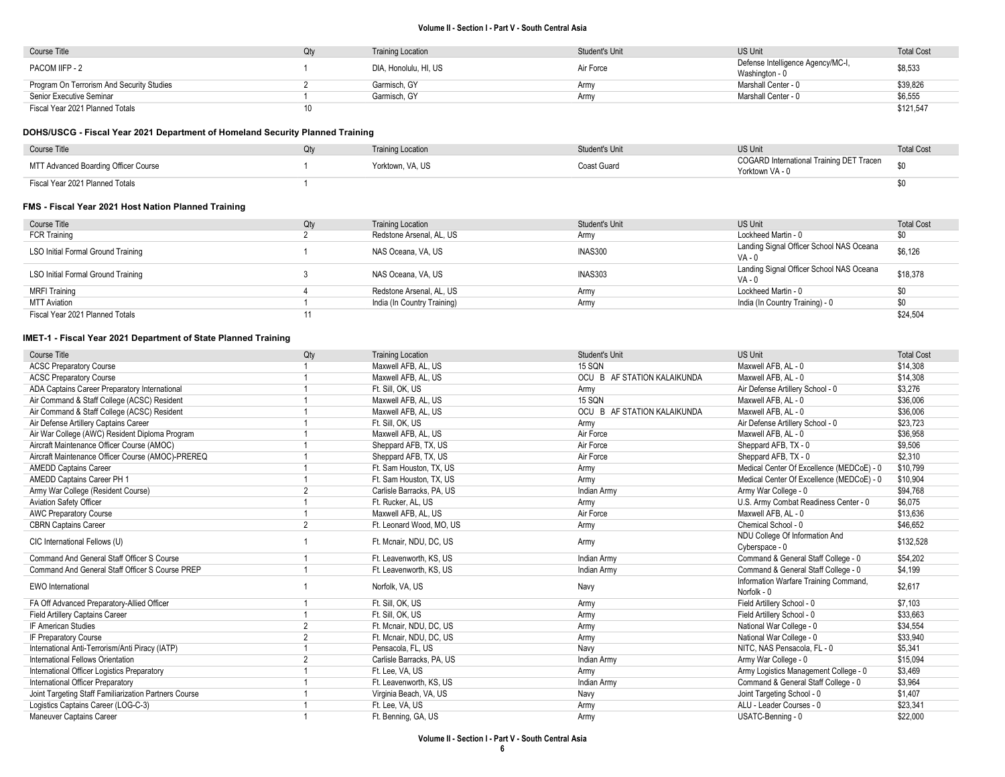| Course Title                              |  | <b>Training Location</b> | <b>Student's Unit</b> | <b>US Unit</b>                    | <b>Total Cost</b> |
|-------------------------------------------|--|--------------------------|-----------------------|-----------------------------------|-------------------|
| PACOM IIFP - 2                            |  | DIA, Honolulu, HI, US    | Air Force             | Defense Intelligence Agency/MC-I, | \$8,533           |
|                                           |  |                          |                       | Washington - 0                    |                   |
| Program On Terrorism And Security Studies |  | Garmisch, GY             | Army                  | Marshall Center - 0               | \$39,826          |
| Senior Executive Seminar                  |  | Garmisch, GY             | Armv                  | Marshall Center - 0               | \$6,555           |
| Fiscal Year 2021 Planned Totals           |  |                          |                       |                                   | \$121,547         |

#### DOHS/USCG - Fiscal Year 2021 Department of Homeland Security Planned Training

| Course Title                         | <b>Training Location</b> | Student's Unit | US Unit                                                     | <b>Total Cost</b> |
|--------------------------------------|--------------------------|----------------|-------------------------------------------------------------|-------------------|
| MTT Advanced Boarding Officer Course | Yorktown, VA, US         | Coast Guard    | COGARD International Training DET Tracen<br>Yorktown VA - 0 | ¢n                |
| Fiscal Year 2021 Planned Totals      |                          |                |                                                             |                   |

#### FMS - Fiscal Year 2021 Host Nation Planned Training

| Course Title                       | Qty | <b>Training Location</b>    | <b>Student's Unit</b> | <b>US Unit</b>                                       | <b>Total Cost</b> |
|------------------------------------|-----|-----------------------------|-----------------------|------------------------------------------------------|-------------------|
| <b>FCR Training</b>                |     | Redstone Arsenal, AL, US    | Army                  | Lockheed Martin - 0                                  | \$0               |
| LSO Initial Formal Ground Training |     | NAS Oceana, VA, US          | <b>INAS300</b>        | Landing Signal Officer School NAS Oceana<br>$VA - 0$ | \$6,126           |
| LSO Initial Formal Ground Training |     | NAS Oceana, VA, US          | INAS303               | Landing Signal Officer School NAS Oceana<br>$VA - 0$ | \$18,378          |
| <b>MRFI Training</b>               |     | Redstone Arsenal, AL, US    | Army                  | Lockheed Martin - 0                                  | \$0               |
| <b>MTT Aviation</b>                |     | India (In Country Training) | Army                  | India (In Country Training) - 0                      | \$0               |
| Fiscal Year 2021 Planned Totals    |     |                             |                       |                                                      | \$24,504          |

| Course Title                                          | Qty            | <b>Training Location</b>  | Student's Unit              | <b>US Unit</b>                                       | <b>Total Cost</b> |
|-------------------------------------------------------|----------------|---------------------------|-----------------------------|------------------------------------------------------|-------------------|
| <b>ACSC Preparatory Course</b>                        |                | Maxwell AFB, AL, US       | 15 SQN                      | Maxwell AFB, AL - 0                                  | \$14.308          |
| <b>ACSC Preparatory Course</b>                        |                | Maxwell AFB, AL, US       | OCU B AF STATION KALAIKUNDA | Maxwell AFB, AL - 0                                  | \$14,308          |
| ADA Captains Career Preparatory International         |                | Ft. Sill, OK, US          | Army                        | Air Defense Artillery School - 0                     | \$3,276           |
| Air Command & Staff College (ACSC) Resident           |                | Maxwell AFB, AL, US       | <b>15 SQN</b>               | Maxwell AFB, AL - 0                                  | \$36,006          |
| Air Command & Staff College (ACSC) Resident           |                | Maxwell AFB, AL, US       | OCU B AF STATION KALAIKUNDA | Maxwell AFB, AL - 0                                  | \$36,006          |
| Air Defense Artillery Captains Career                 |                | Ft. Sill. OK. US          | Army                        | Air Defense Artillery School - 0                     | \$23,723          |
| Air War College (AWC) Resident Diploma Program        |                | Maxwell AFB, AL, US       | Air Force                   | Maxwell AFB, AL - 0                                  | \$36.958          |
| Aircraft Maintenance Officer Course (AMOC)            |                | Sheppard AFB, TX, US      | Air Force                   | Sheppard AFB, TX - 0                                 | \$9,506           |
| Aircraft Maintenance Officer Course (AMOC)-PREREQ     |                | Sheppard AFB, TX, US      | Air Force                   | Sheppard AFB, TX - 0                                 | \$2,310           |
| <b>AMEDD Captains Career</b>                          |                | Ft. Sam Houston, TX, US   | Army                        | Medical Center Of Excellence (MEDCoE) - 0            | \$10,799          |
| AMEDD Captains Career PH 1                            |                | Ft. Sam Houston, TX, US   | Army                        | Medical Center Of Excellence (MEDCoE) - 0            | \$10,904          |
| Army War College (Resident Course)                    | $\overline{2}$ | Carlisle Barracks, PA, US | Indian Army                 | Army War College - 0                                 | \$94,768          |
| Aviation Safety Officer                               |                | Ft. Rucker, AL, US        | Army                        | U.S. Army Combat Readiness Center - 0                | \$6,075           |
| <b>AWC Preparatory Course</b>                         |                | Maxwell AFB, AL, US       | Air Force                   | Maxwell AFB, AL - 0                                  | \$13,636          |
| <b>CBRN Captains Career</b>                           | $\overline{2}$ | Ft. Leonard Wood, MO. US  | Army                        | Chemical School - 0                                  | \$46,652          |
| CIC International Fellows (U)                         |                | Ft. Mcnair, NDU, DC, US   | Army                        | NDU College Of Information And<br>Cyberspace - 0     | \$132,528         |
| Command And General Staff Officer S Course            |                | Ft. Leavenworth, KS, US   | Indian Army                 | Command & General Staff College - 0                  | \$54.202          |
| Command And General Staff Officer S Course PREP       |                | Ft. Leavenworth, KS, US   | Indian Army                 | Command & General Staff College - 0                  | \$4,199           |
| <b>EWO</b> International                              |                | Norfolk, VA, US           | Navy                        | Information Warfare Training Command,<br>Norfolk - 0 | \$2.617           |
| FA Off Advanced Preparatory-Allied Officer            |                | Ft. Sill, OK, US          | Army                        | Field Artillery School - 0                           | \$7,103           |
| Field Artillery Captains Career                       |                | Ft. Sill. OK. US          | Army                        | Field Artillery School - 0                           | \$33,663          |
| IF American Studies                                   | $\overline{2}$ | Ft. Mcnair, NDU, DC, US   | Army                        | National War College - 0                             | \$34,554          |
| IF Preparatory Course                                 | $\overline{2}$ | Ft. Mcnair, NDU, DC, US   | Army                        | National War College - 0                             | \$33,940          |
| International Anti-Terrorism/Anti Piracy (IATP)       |                | Pensacola, FL, US         | Navy                        | NITC. NAS Pensacola. FL - 0                          | \$5,341           |
| International Fellows Orientation                     | $\overline{2}$ | Carlisle Barracks, PA, US | Indian Army                 | Army War College - 0                                 | \$15,094          |
| International Officer Logistics Preparatory           |                | Ft. Lee. VA. US           | Army                        | Army Logistics Management College - 0                | \$3,469           |
| International Officer Preparatory                     |                | Ft. Leavenworth, KS, US   | Indian Army                 | Command & General Staff College - 0                  | \$3,964           |
| Joint Targeting Staff Familiarization Partners Course |                | Virginia Beach, VA, US    | Navy                        | Joint Targeting School - 0                           | \$1,407           |
| Logistics Captains Career (LOG-C-3)                   |                | Ft. Lee, VA, US           | Army                        | ALU - Leader Courses - 0                             | \$23,341          |
| <b>Maneuver Captains Career</b>                       |                | Ft. Benning, GA, US       | Army                        | USATC-Benning - 0                                    | \$22.000          |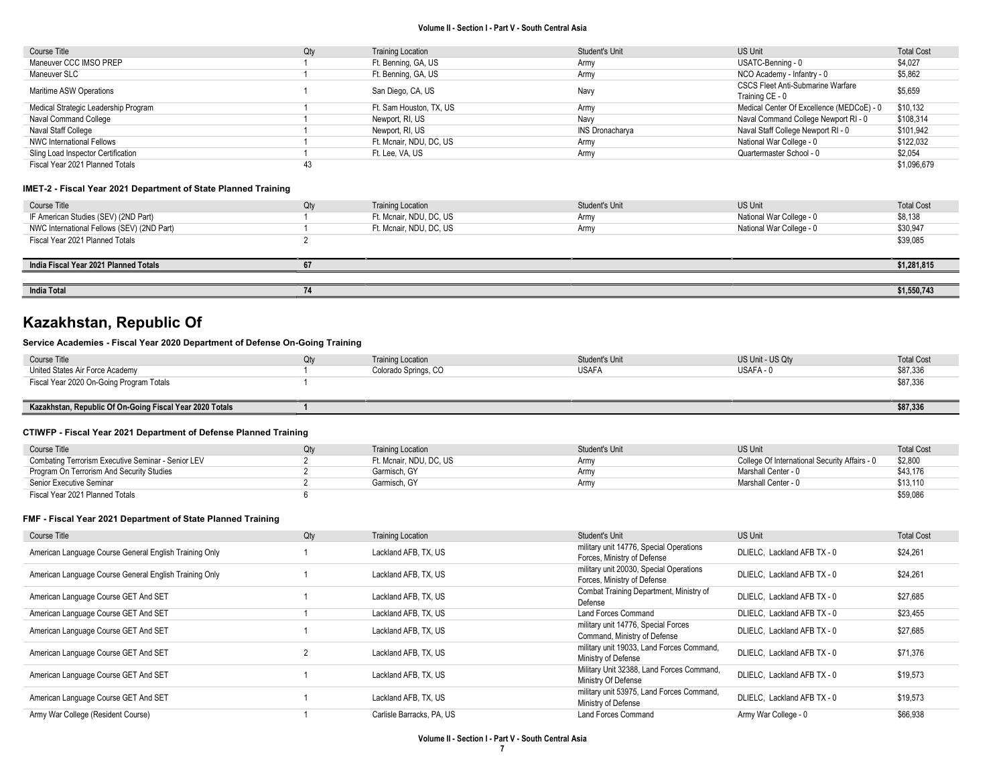| Course Title                         | Qty | <b>Training Location</b> | Student's Unit         | US Unit                                   | <b>Total Cost</b> |
|--------------------------------------|-----|--------------------------|------------------------|-------------------------------------------|-------------------|
| Maneuver CCC IMSO PREP               |     | Ft. Benning, GA, US      | Army                   | USATC-Benning - 0                         | \$4,027           |
| Maneuver SLC                         |     | Ft. Benning, GA, US      | Army                   | NCO Academy - Infantry - 0                | \$5,862           |
| Maritime ASW Operations              |     | San Diego, CA, US        | Navy                   | <b>CSCS Fleet Anti-Submarine Warfare</b>  | \$5,659           |
|                                      |     |                          |                        | Training CE - 0                           |                   |
| Medical Strategic Leadership Program |     | Ft. Sam Houston, TX, US  | Army                   | Medical Center Of Excellence (MEDCoE) - 0 | \$10,132          |
| Naval Command College                |     | Newport, RI, US          | Navy                   | Naval Command College Newport RI - 0      | \$108,314         |
| Naval Staff College                  |     | Newport, RI, US          | <b>INS Dronacharya</b> | Naval Staff College Newport RI - 0        | \$101,942         |
| <b>NWC International Fellows</b>     |     | Ft. Mcnair, NDU, DC, US  | Army                   | National War College - 0                  | \$122.032         |
| Sling Load Inspector Certification   |     | Ft. Lee, VA, US          | Army                   | Quartermaster School - 0                  | \$2,054           |
| Fiscal Year 2021 Planned Totals      | 43  |                          |                        |                                           | \$1.096.679       |

#### IMET-2 - Fiscal Year 2021 Department of State Planned Training

| Course Title                               | Qty | <b>Training Location</b> | Student's Unit | <b>US Unit</b>           | <b>Total Cost</b> |
|--------------------------------------------|-----|--------------------------|----------------|--------------------------|-------------------|
| IF American Studies (SEV) (2ND Part)       |     | Ft. Mcnair, NDU, DC, US  | Army           | National War College - 0 | \$8,138           |
| NWC International Fellows (SEV) (2ND Part) |     | Ft. Mcnair, NDU, DC, US  | Army           | National War College - 0 | \$30,947          |
| Fiscal Year 2021 Planned Totals            |     |                          |                |                          | \$39,085          |
|                                            |     |                          |                |                          |                   |
| India Fiscal Year 2021 Planned Totals      | 67  |                          |                |                          | \$1,281,815       |
|                                            |     |                          |                |                          |                   |
| <b>India Total</b>                         |     |                          |                |                          | \$1,550,743       |

# Kazakhstan, Republic Of

#### Service Academies - Fiscal Year 2020 Department of Defense On-Going Training

| Course Title                             | Jtv | <b>Training Location</b> | <b>Student's Unit</b> | US Unit - US Qty | <b>Total Cost</b> |
|------------------------------------------|-----|--------------------------|-----------------------|------------------|-------------------|
| United States Air Force Academy          |     | Colorado Springs, CO     | <b>USAFA</b>          | USAFA - 0        | \$87,336          |
| Fiscal Year 2020 On-Going Program Totals |     |                          |                       |                  | \$87,336          |
|                                          |     |                          |                       |                  |                   |

#### Kazakhstan, Republic Of On-Going Fiscal Year 2020 Totals 1 \$87,336

#### CTIWFP - Fiscal Year 2021 Department of Defense Planned Training

| Course Title                                       | Qtv | <b>Training Location</b> | Student's Unit   | <b>US Unit</b>                                | <b>Total Cost</b> |
|----------------------------------------------------|-----|--------------------------|------------------|-----------------------------------------------|-------------------|
| Combating Terrorism Executive Seminar - Senior LEV |     | Ft. Mcnair. NDU. DC. US  | Army             | College Of International Security Affairs - 0 | \$2,800           |
| Program On Terrorism And Security Studies          |     | Garmisch, GY             | Army             | Marshall Center - 0                           | \$43.176          |
| Senior Executive Seminar                           |     | Garmisch, GY             | Arm <sup>1</sup> | Marshall Center - 0                           | \$13,110          |
| Fiscal Year 2021 Planned Totals                    |     |                          |                  |                                               | \$59,086          |

| Course Title                                           | Qty | <b>Training Location</b>  | Student's Unit                                                         | <b>US Unit</b>              | <b>Total Cost</b> |
|--------------------------------------------------------|-----|---------------------------|------------------------------------------------------------------------|-----------------------------|-------------------|
| American Language Course General English Training Only |     | Lackland AFB, TX, US      | military unit 14776, Special Operations<br>Forces, Ministry of Defense | DLIELC. Lackland AFB TX - 0 | \$24,261          |
| American Language Course General English Training Only |     | Lackland AFB, TX, US      | military unit 20030, Special Operations<br>Forces, Ministry of Defense | DLIELC. Lackland AFB TX - 0 | \$24,261          |
| American Language Course GET And SET                   |     | Lackland AFB, TX, US      | Combat Training Department, Ministry of<br>Defense                     | DLIELC. Lackland AFB TX - 0 | \$27,685          |
| American Language Course GET And SET                   |     | Lackland AFB, TX, US      | Land Forces Command                                                    | DLIELC. Lackland AFB TX - 0 | \$23,455          |
| American Language Course GET And SET                   |     | Lackland AFB, TX, US      | military unit 14776, Special Forces<br>Command, Ministry of Defense    | DLIELC. Lackland AFB TX - 0 | \$27,685          |
| American Language Course GET And SET                   |     | Lackland AFB, TX, US      | military unit 19033, Land Forces Command,<br>Ministry of Defense       | DLIELC. Lackland AFB TX - 0 | \$71.376          |
| American Language Course GET And SET                   |     | Lackland AFB, TX, US      | Military Unit 32388, Land Forces Command,<br>Ministry Of Defense       | DLIELC. Lackland AFB TX - 0 | \$19,573          |
| American Language Course GET And SET                   |     | Lackland AFB, TX, US      | military unit 53975, Land Forces Command,<br>Ministry of Defense       | DLIELC. Lackland AFB TX - 0 | \$19,573          |
| Army War College (Resident Course)                     |     | Carlisle Barracks, PA, US | Land Forces Command                                                    | Army War College - 0        | \$66,938          |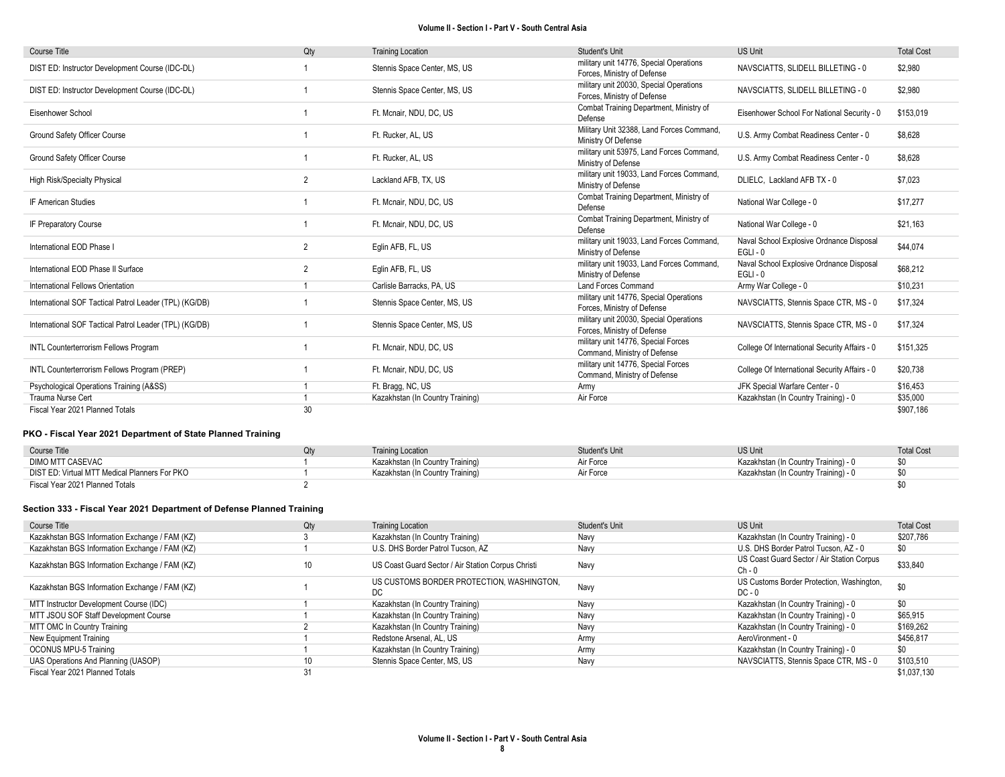| <b>Course Title</b>                                    | Qty            | <b>Training Location</b>         | Student's Unit                                                         | <b>US Unit</b>                                         | <b>Total Cost</b> |
|--------------------------------------------------------|----------------|----------------------------------|------------------------------------------------------------------------|--------------------------------------------------------|-------------------|
| DIST ED: Instructor Development Course (IDC-DL)        |                | Stennis Space Center, MS, US     | military unit 14776, Special Operations<br>Forces, Ministry of Defense | NAVSCIATTS, SLIDELL BILLETING - 0                      | \$2,980           |
| DIST ED: Instructor Development Course (IDC-DL)        |                | Stennis Space Center, MS, US     | military unit 20030, Special Operations<br>Forces, Ministry of Defense | NAVSCIATTS, SLIDELL BILLETING - 0                      | \$2,980           |
| Eisenhower School                                      |                | Ft. Mcnair, NDU, DC, US          | Combat Training Department, Ministry of<br>Defense                     | Eisenhower School For National Security - 0            | \$153,019         |
| Ground Safety Officer Course                           |                | Ft. Rucker, AL, US               | Military Unit 32388, Land Forces Command,<br>Ministry Of Defense       | U.S. Army Combat Readiness Center - 0                  | \$8,628           |
| Ground Safety Officer Course                           |                | Ft. Rucker, AL, US               | military unit 53975, Land Forces Command,<br>Ministry of Defense       | U.S. Army Combat Readiness Center - 0                  | \$8,628           |
| <b>High Risk/Specialty Physical</b>                    | $\overline{2}$ | Lackland AFB, TX, US             | military unit 19033, Land Forces Command,<br>Ministry of Defense       | DLIELC, Lackland AFB TX - 0                            | \$7,023           |
| IF American Studies                                    |                | Ft. Mcnair, NDU, DC, US          | Combat Training Department, Ministry of<br>Defense                     | National War College - 0                               | \$17,277          |
| IF Preparatory Course                                  |                | Ft. Mcnair, NDU, DC, US          | Combat Training Department, Ministry of<br>Defense                     | National War College - 0                               | \$21,163          |
| International EOD Phase I                              | $\overline{2}$ | Eglin AFB, FL, US                | military unit 19033, Land Forces Command,<br>Ministry of Defense       | Naval School Explosive Ordnance Disposal<br>$EGLI - 0$ | \$44,074          |
| International EOD Phase II Surface                     | $\overline{2}$ | Eglin AFB, FL, US                | military unit 19033, Land Forces Command,<br>Ministry of Defense       | Naval School Explosive Ordnance Disposal<br>$EGLI - 0$ | \$68,212          |
| International Fellows Orientation                      |                | Carlisle Barracks, PA, US        | <b>Land Forces Command</b>                                             | Army War College - 0                                   | \$10,231          |
| International SOF Tactical Patrol Leader (TPL) (KG/DB) |                | Stennis Space Center, MS, US     | military unit 14776, Special Operations<br>Forces, Ministry of Defense | NAVSCIATTS, Stennis Space CTR, MS - 0                  | \$17,324          |
| International SOF Tactical Patrol Leader (TPL) (KG/DB) |                | Stennis Space Center, MS, US     | military unit 20030, Special Operations<br>Forces, Ministry of Defense | NAVSCIATTS, Stennis Space CTR, MS - 0                  | \$17,324          |
| <b>INTL Counterterrorism Fellows Program</b>           |                | Ft. Mcnair, NDU, DC, US          | military unit 14776, Special Forces<br>Command, Ministry of Defense    | College Of International Security Affairs - 0          | \$151,325         |
| INTL Counterterrorism Fellows Program (PREP)           |                | Ft. Mcnair, NDU, DC, US          | military unit 14776, Special Forces<br>Command, Ministry of Defense    | College Of International Security Affairs - 0          | \$20,738          |
| Psychological Operations Training (A&SS)               |                | Ft. Bragg, NC, US                | Army                                                                   | JFK Special Warfare Center - 0                         | \$16,453          |
| Trauma Nurse Cert                                      |                | Kazakhstan (In Country Training) | Air Force                                                              | Kazakhstan (In Country Training) - 0                   | \$35,000          |
| Fiscal Year 2021 Planned Totals                        | 30             |                                  |                                                                        |                                                        | \$907,186         |

### PKO - Fiscal Year 2021 Department of State Planned Training

| Course Title                                  | <b>Training Location</b>         | Student's Unit | <b>US Unit</b>                       | <b>Total Cost</b> |
|-----------------------------------------------|----------------------------------|----------------|--------------------------------------|-------------------|
| DIMO MTT CASEVAC                              | Kazakhstan (In Country Training) | Air Force      | Kazakhstan (In Country Training) - 0 | \$0               |
| DIST ED: Virtual MTT Medical Planners For PKO | Kazakhstan (In Country Training) | Air Force      | Kazakhstan (In Country Training) - 0 | \$0               |
| Fiscal Year 2021 Planned Totals               |                                  |                |                                      |                   |

#### Section 333 - Fiscal Year 2021 Department of Defense Planned Training

| Course Title                                   | Qty | <b>Training Location</b>                           | Student's Unit | US Unit                                                | <b>Total Cost</b> |
|------------------------------------------------|-----|----------------------------------------------------|----------------|--------------------------------------------------------|-------------------|
| Kazakhstan BGS Information Exchange / FAM (KZ) |     | Kazakhstan (In Country Training)                   | Navy           | Kazakhstan (In Country Training) - 0                   | \$207,786         |
| Kazakhstan BGS Information Exchange / FAM (KZ) |     | U.S. DHS Border Patrol Tucson, AZ                  | Navy           | U.S. DHS Border Patrol Tucson. AZ - 0                  | \$0               |
| Kazakhstan BGS Information Exchange / FAM (KZ) |     | US Coast Guard Sector / Air Station Corpus Christi | Navy           | US Coast Guard Sector / Air Station Corpus<br>$Ch - 0$ | \$33,840          |
| Kazakhstan BGS Information Exchange / FAM (KZ) |     | US CUSTOMS BORDER PROTECTION, WASHINGTON,<br>DC    | Navy           | US Customs Border Protection, Washington,<br>$DC - 0$  | \$0               |
| MTT Instructor Development Course (IDC)        |     | Kazakhstan (In Country Training)                   | Navy           | Kazakhstan (In Country Training) - 0                   | \$0               |
| MTT JSOU SOF Staff Development Course          |     | Kazakhstan (In Country Training)                   | Navy           | Kazakhstan (In Country Training) - 0                   | \$65,915          |
| MTT OMC In Country Training                    |     | Kazakhstan (In Country Training)                   | Navv           | Kazakhstan (In Country Training) - 0                   | \$169,262         |
| New Equipment Training                         |     | Redstone Arsenal, AL, US                           | Army           | AeroVironment - 0                                      | \$456,817         |
| <b>OCONUS MPU-5 Training</b>                   |     | Kazakhstan (In Country Training)                   | Army           | Kazakhstan (In Country Training) - 0                   | \$0               |
| UAS Operations And Planning (UASOP)            |     | Stennis Space Center, MS, US                       | Navy           | NAVSCIATTS, Stennis Space CTR, MS - 0                  | \$103,510         |
| Fiscal Year 2021 Planned Totals                |     |                                                    |                |                                                        | \$1.037.130       |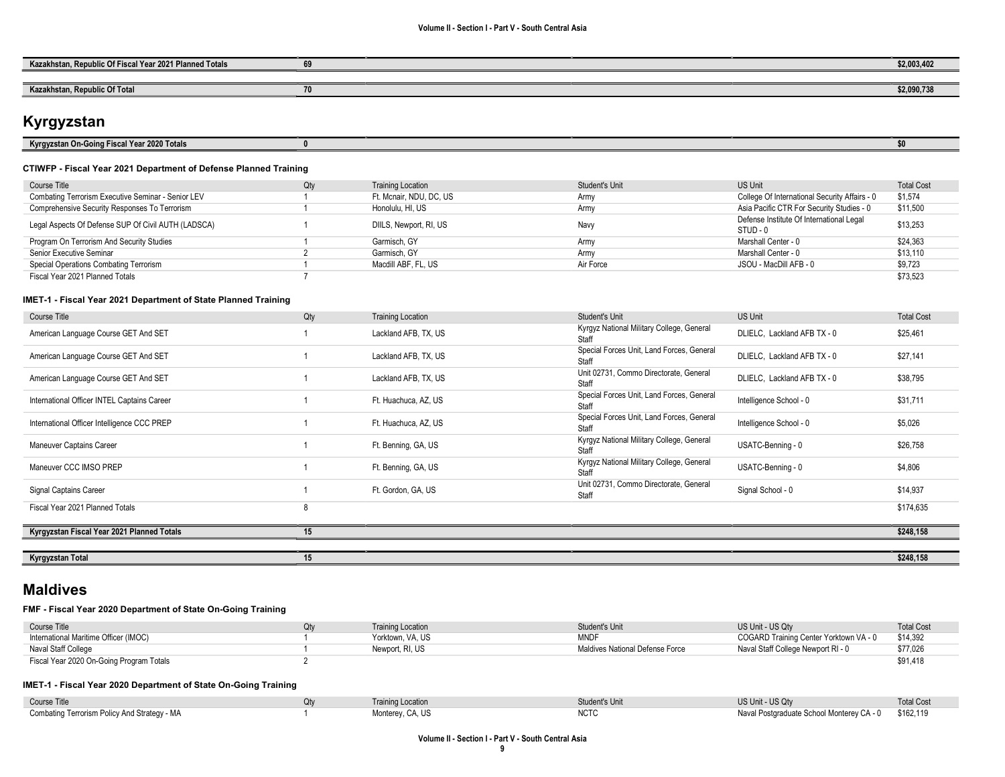| blic Of Fiscal Year 2021 Planned Totals<br>Kazakh<br>Donuk<br>.istar | <br>\$2,003,402 |
|----------------------------------------------------------------------|-----------------|
|                                                                      |                 |
| Kazakhstan, Republic Of Total                                        | \$2,090,738     |

# Kyrgyzstan

| l Year 2020 Totals<br>้ๆ On-Goinเ<br>Kyrgyzsta<br>----<br>ascar<br>. |  |  |  |
|----------------------------------------------------------------------|--|--|--|
|                                                                      |  |  |  |

#### CTIWFP - Fiscal Year 2021 Department of Defense Planned Training

| Course Title                                        | Qty | <b>Training Location</b> | Student's Unit | US Unit                                              | <b>Total Cost</b> |
|-----------------------------------------------------|-----|--------------------------|----------------|------------------------------------------------------|-------------------|
| Combating Terrorism Executive Seminar - Senior LEV  |     | Ft. Mcnair, NDU, DC, US  | Army           | College Of International Security Affairs - 0        | \$1,574           |
| Comprehensive Security Responses To Terrorism       |     | Honolulu, HI, US         | Army           | Asia Pacific CTR For Security Studies - 0            | \$11,500          |
| Legal Aspects Of Defense SUP Of Civil AUTH (LADSCA) |     | DIILS, Newport, RI, US   | Navy           | Defense Institute Of International Legal<br>STUD - 0 | \$13,253          |
| Program On Terrorism And Security Studies           |     | Garmisch, GY             | Army           | Marshall Center - 0                                  | \$24.363          |
| Senior Executive Seminar                            |     | Garmisch, GY             | Army           | Marshall Center - 0                                  | \$13.110          |
| Special Operations Combating Terrorism              |     | Macdill ABF, FL, US      | Air Force      | JSOU - MacDill AFB - 0                               | \$9,723           |
| Fiscal Year 2021 Planned Totals                     |     |                          |                |                                                      | \$73.523          |

#### IMET-1 - Fiscal Year 2021 Department of State Planned Training

| Course Title                                | Qty | <b>Training Location</b> | Student's Unit                                     | <b>US Unit</b>              | <b>Total Cost</b> |
|---------------------------------------------|-----|--------------------------|----------------------------------------------------|-----------------------------|-------------------|
| American Language Course GET And SET        |     | Lackland AFB, TX, US     | Kyrgyz National Military College, General<br>Staff | DLIELC, Lackland AFB TX - 0 | \$25,461          |
| American Language Course GET And SET        |     | Lackland AFB, TX, US     | Special Forces Unit, Land Forces, General<br>Staff | DLIELC, Lackland AFB TX - 0 | \$27,141          |
| American Language Course GET And SET        |     | Lackland AFB, TX, US     | Unit 02731, Commo Directorate, General<br>Staff    | DLIELC, Lackland AFB TX - 0 | \$38,795          |
| International Officer INTEL Captains Career |     | Ft. Huachuca, AZ, US     | Special Forces Unit, Land Forces, General<br>Staff | Intelligence School - 0     | \$31,711          |
| International Officer Intelligence CCC PREP |     | Ft. Huachuca, AZ, US     | Special Forces Unit, Land Forces, General<br>Staff | Intelligence School - 0     | \$5,026           |
| <b>Maneuver Captains Career</b>             |     | Ft. Benning, GA, US      | Kyrgyz National Military College, General<br>Staff | USATC-Benning - 0           | \$26,758          |
| Maneuver CCC IMSO PREP                      |     | Ft. Benning, GA, US      | Kyrgyz National Military College, General<br>Staff | USATC-Benning - 0           | \$4,806           |
| Signal Captains Career                      |     | Ft. Gordon, GA, US       | Unit 02731, Commo Directorate, General<br>Staff    | Signal School - 0           | \$14,937          |
| Fiscal Year 2021 Planned Totals             | 8   |                          |                                                    |                             | \$174,635         |
| Kyrgyzstan Fiscal Year 2021 Planned Totals  | 15  |                          |                                                    |                             | \$248,158         |
|                                             |     |                          |                                                    |                             |                   |
| Kyrgyzstan Total                            | 15  |                          |                                                    |                             | \$248,158         |

## Maldives

### FMF - Fiscal Year 2020 Department of State On-Going Training

| Course Title                             | <b>Training Location</b> | <b>Student's Unit</b>           | US Unit - US Qty                       | <b>Total Cost</b> |
|------------------------------------------|--------------------------|---------------------------------|----------------------------------------|-------------------|
| International Maritime Officer (IMOC)    | Yorktown, VA, US         | <b>MNDF</b>                     | COGARD Training Center Yorktown VA - 0 | \$14.392          |
| Naval Staff College                      | Newport, RI, US          | Maldives National Defense Force | Naval Staff College Newport RI - 0     | \$77,026          |
| Fiscal Year 2020 On-Going Program Totals |                          |                                 |                                        | \$91.418          |

### IMET-1 - Fiscal Year 2020 Department of State On-Going Training

| Course Title                                 |             |               | US Unit - US Qtv                          | <b>Total Cost</b> |
|----------------------------------------------|-------------|---------------|-------------------------------------------|-------------------|
| Combating Terrorism Policy And Strategy - MA | Montorov CA | NIOT.<br>NUIC | Naval Postgraduate School Monterey CA - 0 | \$162,119         |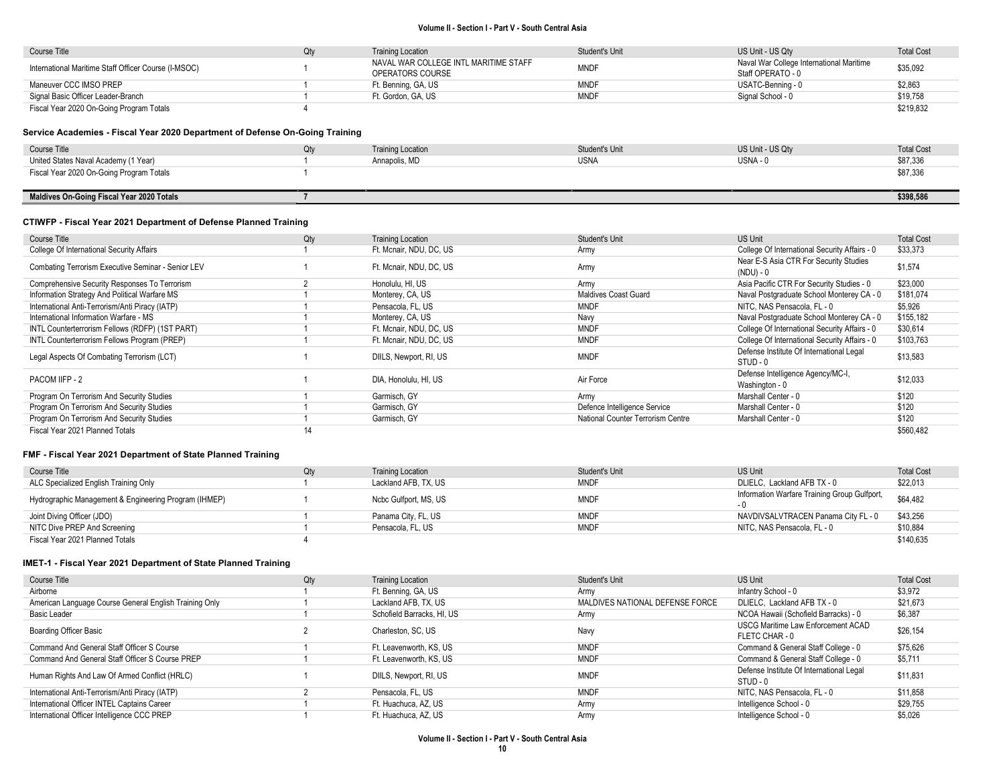| Course Title                                         | Qtv | <b>Training Location</b>              | Student's Unit | US Unit - US Qtv                         | <b>Total Cost</b> |
|------------------------------------------------------|-----|---------------------------------------|----------------|------------------------------------------|-------------------|
| International Maritime Staff Officer Course (I-MSOC) |     | NAVAL WAR COLLEGE INTL MARITIME STAFF | <b>MNDF</b>    | Naval War College International Maritime | \$35,092          |
|                                                      |     | OPERATORS COURSE                      |                | Staff OPERATO - 0                        |                   |
| Maneuver CCC IMSO PREP                               |     | Ft. Benning, GA, US                   | <b>MNDF</b>    | USATC-Benning - 0                        | \$2,863           |
| Signal Basic Officer Leader-Branch                   |     | Ft. Gordon. GA. US                    | <b>MNDF</b>    | Signal School - 0                        | \$19,758          |
| Fiscal Year 2020 On-Going Program Totals             |     |                                       |                |                                          | \$219,832         |

### Service Academies - Fiscal Year 2020 Department of Defense On-Going Training

| Course Title                              | Qtv | <b>Training Location</b> | Student's Unit | US Unit - US Qty | <b>Total Cost</b> |
|-------------------------------------------|-----|--------------------------|----------------|------------------|-------------------|
| United States Naval Academy (1 Year)      |     | Annapolis, MD            | <b>USNA</b>    | $USNA - 0$       | \$87,336          |
| Fiscal Year 2020 On-Going Program Totals  |     |                          |                |                  | \$87,336          |
|                                           |     |                          |                |                  |                   |
| Maldives On-Going Fiscal Year 2020 Totals |     |                          |                |                  | \$398,586         |

#### CTIWFP - Fiscal Year 2021 Department of Defense Planned Training

| Course Title                                       | Qty | <b>Training Location</b> | <b>Student's Unit</b>             | US Unit                                              | <b>Total Cost</b> |
|----------------------------------------------------|-----|--------------------------|-----------------------------------|------------------------------------------------------|-------------------|
| College Of International Security Affairs          |     | Ft. Mcnair, NDU, DC, US  | Army                              | College Of International Security Affairs - 0        | \$33,373          |
| Combating Terrorism Executive Seminar - Senior LEV |     | Ft. Mcnair, NDU, DC, US  | Army                              | Near E-S Asia CTR For Security Studies<br>(NDU) - 0  | \$1,574           |
| Comprehensive Security Responses To Terrorism      |     | Honolulu, HI, US         | Army                              | Asia Pacific CTR For Security Studies - 0            | \$23,000          |
| Information Strategy And Political Warfare MS      |     | Monterey, CA, US         | <b>Maldives Coast Guard</b>       | Naval Postgraduate School Monterey CA - 0            | \$181,074         |
| International Anti-Terrorism/Anti Piracy (IATP)    |     | Pensacola, FL, US        | <b>MNDF</b>                       | NITC, NAS Pensacola, FL - 0                          | \$5,926           |
| International Information Warfare - MS             |     | Monterey, CA, US         | Navy                              | Naval Postgraduate School Monterey CA - 0            | \$155,182         |
| INTL Counterterrorism Fellows (RDFP) (1ST PART)    |     | Ft. Mcnair. NDU. DC. US  | <b>MNDF</b>                       | College Of International Security Affairs - 0        | \$30,614          |
| INTL Counterterrorism Fellows Program (PREP)       |     | Ft. Mcnair, NDU, DC, US  | <b>MNDF</b>                       | College Of International Security Affairs - 0        | \$103,763         |
| Legal Aspects Of Combating Terrorism (LCT)         |     | DIILS, Newport, RI, US   | <b>MNDF</b>                       | Defense Institute Of International Legal<br>STUD - 0 | \$13,583          |
| PACOM IIFP - 2                                     |     | DIA, Honolulu, HI, US    | Air Force                         | Defense Intelligence Agency/MC-I,<br>Washington - 0  | \$12.033          |
| Program On Terrorism And Security Studies          |     | Garmisch, GY             | Army                              | Marshall Center - 0                                  | \$120             |
| Program On Terrorism And Security Studies          |     | Garmisch, GY             | Defence Intelligence Service      | Marshall Center - 0                                  | \$120             |
| Program On Terrorism And Security Studies          |     | Garmisch, GY             | National Counter Terrorism Centre | Marshall Center - 0                                  | \$120             |
| Fiscal Year 2021 Planned Totals                    | 14  |                          |                                   |                                                      | \$560,482         |

#### FMF - Fiscal Year 2021 Department of State Planned Training

| Course Title                                          | <b>Training Location</b> | Student's Unit | US Unit                                      | <b>Total Cost</b> |
|-------------------------------------------------------|--------------------------|----------------|----------------------------------------------|-------------------|
| ALC Specialized English Training Only                 | Lackland AFB, TX, US     | MNDF           | DLIELC. Lackland AFB TX - 0                  | \$22,013          |
| Hydrographic Management & Engineering Program (IHMEP) | Ncbc Gulfport, MS, US    | <b>MNDF</b>    | Information Warfare Training Group Gulfport, | \$64,482          |
| Joint Diving Officer (JDO)                            | Panama City, FL, US      | <b>MNDF</b>    | NAVDIVSALVTRACEN Panama City FL - 0          | \$43,256          |
| NITC Dive PREP And Screening                          | Pensacola, FL, US        | <b>MNDF</b>    | NITC. NAS Pensacola. FL - 0                  | \$10,884          |
| Fiscal Year 2021 Planned Totals                       |                          |                |                                              | \$140,635         |

| Course Title                                           | Qty | <b>Training Location</b>   | <b>Student's Unit</b>           | US Unit                                  | <b>Total Cost</b> |
|--------------------------------------------------------|-----|----------------------------|---------------------------------|------------------------------------------|-------------------|
| Airborne                                               |     | Ft. Benning, GA, US        | Army                            | Infantry School - 0                      | \$3,972           |
| American Language Course General English Training Only |     | Lackland AFB, TX, US       | MALDIVES NATIONAL DEFENSE FORCE | DLIELC. Lackland AFB TX - 0              | \$21,673          |
| Basic Leader                                           |     | Schofield Barracks, HI, US | Army                            | NCOA Hawaii (Schofield Barracks) - 0     | \$6,387           |
| <b>Boarding Officer Basic</b>                          |     | Charleston, SC, US         | Navy                            | USCG Maritime Law Enforcement ACAD       | \$26,154          |
|                                                        |     |                            |                                 | FLETC CHAR - 0                           |                   |
| Command And General Staff Officer S Course             |     | Ft. Leavenworth, KS, US    | <b>MNDF</b>                     | Command & General Staff College - 0      | \$75,626          |
| Command And General Staff Officer S Course PREP        |     | Ft. Leavenworth, KS, US    | <b>MNDF</b>                     | Command & General Staff College - 0      | \$5,711           |
| Human Rights And Law Of Armed Conflict (HRLC)          |     | DIILS, Newport, RI, US     | <b>MNDF</b>                     | Defense Institute Of International Legal | \$11,831          |
|                                                        |     |                            |                                 | STUD - 0                                 |                   |
| International Anti-Terrorism/Anti Piracy (IATP)        |     | Pensacola, FL, US          | <b>MNDF</b>                     | NITC, NAS Pensacola, FL - 0              | \$11.858          |
| International Officer INTEL Captains Career            |     | Ft. Huachuca, AZ, US       | Army                            | Intelligence School - 0                  | \$29,755          |
| International Officer Intelligence CCC PREP            |     | Ft. Huachuca, AZ, US       | Army                            | Intelligence School - 0                  | \$5.026           |
|                                                        |     |                            |                                 |                                          |                   |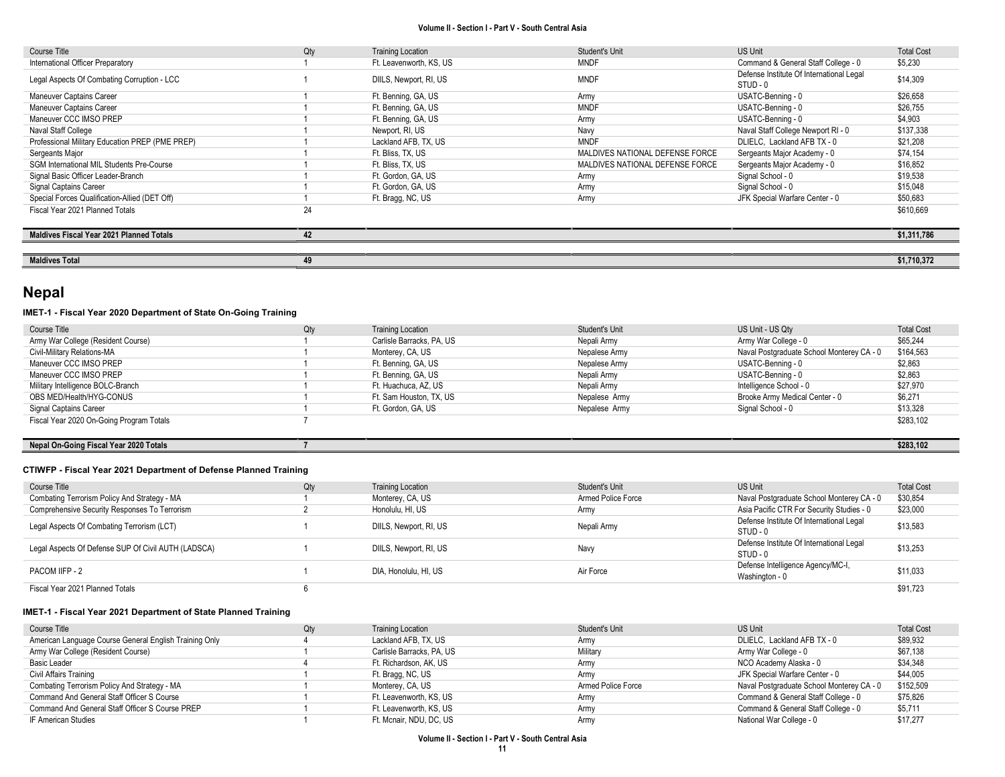| Course Title                                     | Qty | <b>Training Location</b> | Student's Unit                  | US Unit                                              | <b>Total Cost</b> |
|--------------------------------------------------|-----|--------------------------|---------------------------------|------------------------------------------------------|-------------------|
| International Officer Preparatory                |     | Ft. Leavenworth, KS, US  | <b>MNDF</b>                     | Command & General Staff College - 0                  | \$5,230           |
| Legal Aspects Of Combating Corruption - LCC      |     | DIILS, Newport, RI, US   | <b>MNDF</b>                     | Defense Institute Of International Legal<br>STUD - 0 | \$14,309          |
| Maneuver Captains Career                         |     | Ft. Benning, GA, US      | Army                            | USATC-Benning - 0                                    | \$26,658          |
| Maneuver Captains Career                         |     | Ft. Benning, GA, US      | <b>MNDF</b>                     | USATC-Benning - 0                                    | \$26,755          |
| Maneuver CCC IMSO PREP                           |     | Ft. Benning, GA, US      | Army                            | USATC-Benning - 0                                    | \$4,903           |
| Naval Staff College                              |     | Newport, RI, US          | Navy                            | Naval Staff College Newport RI - 0                   | \$137,338         |
| Professional Military Education PREP (PME PREP)  |     | Lackland AFB, TX, US     | <b>MNDF</b>                     | DLIELC, Lackland AFB TX - 0                          | \$21,208          |
| Sergeants Major                                  |     | Ft. Bliss, TX, US        | MALDIVES NATIONAL DEFENSE FORCE | Sergeants Major Academy - 0                          | \$74,154          |
| <b>SGM International MIL Students Pre-Course</b> |     | Ft. Bliss, TX, US        | MALDIVES NATIONAL DEFENSE FORCE | Sergeants Major Academy - 0                          | \$16,852          |
| Signal Basic Officer Leader-Branch               |     | Ft. Gordon, GA, US       | Army                            | Signal School - 0                                    | \$19,538          |
| Signal Captains Career                           |     | Ft. Gordon, GA, US       | Army                            | Signal School - 0                                    | \$15,048          |
| Special Forces Qualification-Allied (DET Off)    |     | Ft. Bragg, NC, US        | Army                            | JFK Special Warfare Center - 0                       | \$50,683          |
| Fiscal Year 2021 Planned Totals                  | 24  |                          |                                 |                                                      | \$610,669         |
|                                                  |     |                          |                                 |                                                      |                   |
| <b>Maldives Fiscal Year 2021 Planned Totals</b>  | 42  |                          |                                 |                                                      | \$1,311,786       |
|                                                  |     |                          |                                 |                                                      |                   |
| <b>Maldives Total</b>                            | 49  |                          |                                 |                                                      | \$1,710,372       |

## Nepal

#### IMET-1 - Fiscal Year 2020 Department of State On-Going Training

| Course Title                             | Qty | <b>Training Location</b>  | Student's Unit | US Unit - US Qty                          | <b>Total Cost</b> |
|------------------------------------------|-----|---------------------------|----------------|-------------------------------------------|-------------------|
| Army War College (Resident Course)       |     | Carlisle Barracks, PA, US | Nepali Army    | Army War College - 0                      | \$65,244          |
| Civil-Military Relations-MA              |     | Monterey, CA, US          | Nepalese Army  | Naval Postgraduate School Monterey CA - 0 | \$164,563         |
| Maneuver CCC IMSO PREP                   |     | Ft. Benning, GA, US       | Nepalese Army  | USATC-Benning - 0                         | \$2,863           |
| Maneuver CCC IMSO PREP                   |     | Ft. Benning, GA, US       | Nepali Army    | USATC-Benning - 0                         | \$2,863           |
| Military Intelligence BOLC-Branch        |     | Ft. Huachuca, AZ, US      | Nepali Army    | Intelligence School - 0                   | \$27.970          |
| OBS MED/Health/HYG-CONUS                 |     | Ft. Sam Houston, TX, US   | Nepalese Army  | Brooke Army Medical Center - 0            | \$6,271           |
| Signal Captains Career                   |     | Ft. Gordon. GA. US        | Nepalese Army  | Signal School - 0                         | \$13,328          |
| Fiscal Year 2020 On-Going Program Totals |     |                           |                |                                           | \$283,102         |
|                                          |     |                           |                |                                           |                   |

### Nepal On-Going Fiscal Year 2020 Totals **7** \$283,102

#### CTIWFP - Fiscal Year 2021 Department of Defense Planned Training

| Course Title                                        | Qty | <b>Training Location</b> | Student's Unit     | US Unit                                              | <b>Total Cost</b> |
|-----------------------------------------------------|-----|--------------------------|--------------------|------------------------------------------------------|-------------------|
| Combating Terrorism Policy And Strategy - MA        |     | Monterey, CA, US         | Armed Police Force | Naval Postgraduate School Monterey CA - 0            | \$30,854          |
| Comprehensive Security Responses To Terrorism       |     | Honolulu, HI, US         | Army               | Asia Pacific CTR For Security Studies - 0            | \$23,000          |
| Legal Aspects Of Combating Terrorism (LCT)          |     | DIILS, Newport, RI, US   | Nepali Army        | Defense Institute Of International Legal<br>STUD - 0 | \$13,583          |
| Legal Aspects Of Defense SUP Of Civil AUTH (LADSCA) |     | DIILS, Newport, RI, US   | Navy               | Defense Institute Of International Legal<br>STUD - 0 | \$13,253          |
| PACOM IIFP - 2                                      |     | DIA, Honolulu, HI, US    | Air Force          | Defense Intelligence Agency/MC-I,<br>Washington - 0  | \$11,033          |
| Fiscal Year 2021 Planned Totals                     |     |                          |                    |                                                      | \$91,723          |

| Course Title                                           | Qty | <b>Training Location</b>  | Student's Unit     | <b>US Unit</b>                            | <b>Total Cost</b> |
|--------------------------------------------------------|-----|---------------------------|--------------------|-------------------------------------------|-------------------|
| American Language Course General English Training Only |     | Lackland AFB, TX, US      | Army               | DLIELC. Lackland AFB TX - 0               | \$89,932          |
| Army War College (Resident Course)                     |     | Carlisle Barracks, PA, US | Military           | Army War College - 0                      | \$67.138          |
| Basic Leader                                           |     | Ft. Richardson, AK, US    | Army               | NCO Academy Alaska - 0                    | \$34.348          |
| Civil Affairs Training                                 |     | Ft. Bragg, NC, US         | Army               | JFK Special Warfare Center - 0            | \$44,005          |
| Combating Terrorism Policy And Strategy - MA           |     | Monterey, CA, US          | Armed Police Force | Naval Postgraduate School Monterey CA - 0 | \$152.509         |
| Command And General Staff Officer S Course             |     | Ft. Leavenworth, KS, US   | Army               | Command & General Staff College - 0       | \$75,826          |
| Command And General Staff Officer S Course PREP        |     | Ft. Leavenworth, KS, US   | Army               | Command & General Staff College - 0       | \$5,711           |
| IF American Studies                                    |     | Ft. Mcnair, NDU, DC, US   | Army               | National War College - 0                  | \$17,277          |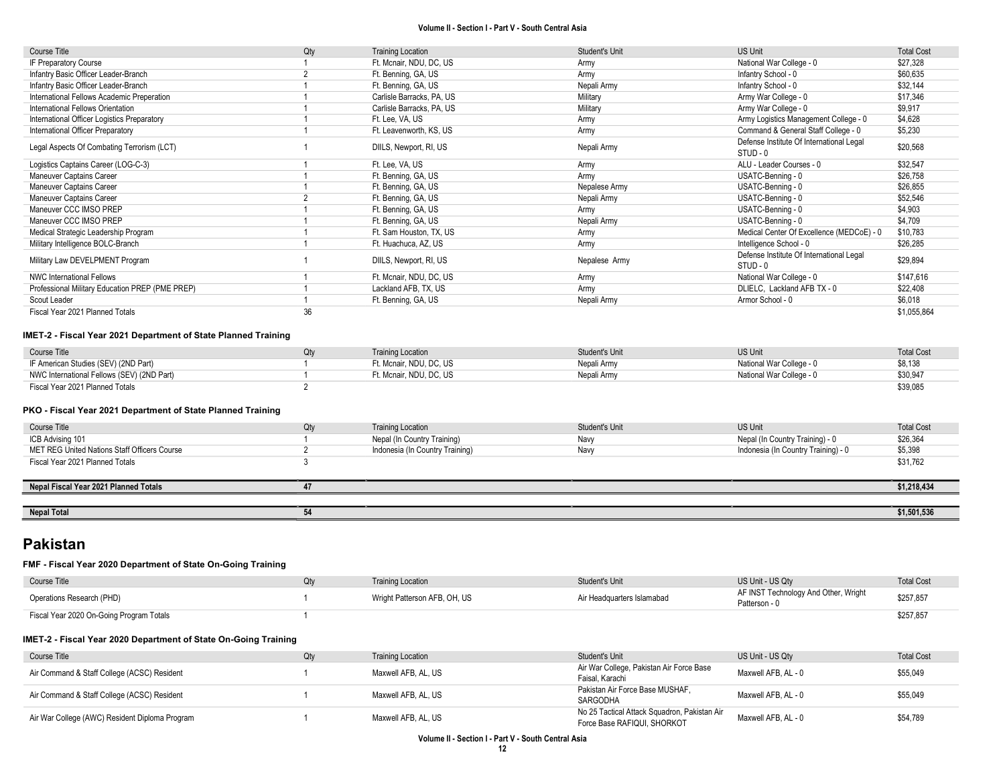| Course Title                                    | Qty | <b>Training Location</b>  | <b>Student's Unit</b> | <b>US Unit</b>                                       | <b>Total Cost</b> |
|-------------------------------------------------|-----|---------------------------|-----------------------|------------------------------------------------------|-------------------|
| IF Preparatory Course                           |     | Ft. Mcnair, NDU, DC, US   | Army                  | National War College - 0                             | \$27,328          |
| Infantry Basic Officer Leader-Branch            |     | Ft. Benning, GA, US       | Army                  | Infantry School - 0                                  | \$60,635          |
| Infantry Basic Officer Leader-Branch            |     | Ft. Benning, GA, US       | Nepali Army           | Infantry School - 0                                  | \$32,144          |
| International Fellows Academic Preperation      |     | Carlisle Barracks, PA, US | Military              | Army War College - 0                                 | \$17,346          |
| International Fellows Orientation               |     | Carlisle Barracks, PA, US | Military              | Army War College - 0                                 | \$9,917           |
| International Officer Logistics Preparatory     |     | Ft. Lee, VA, US           | Army                  | Army Logistics Management College - 0                | \$4,628           |
| International Officer Preparatory               |     | Ft. Leavenworth, KS, US   | Army                  | Command & General Staff College - 0                  | \$5,230           |
| Legal Aspects Of Combating Terrorism (LCT)      |     | DIILS, Newport, RI, US    | Nepali Army           | Defense Institute Of International Legal<br>STUD - 0 | \$20,568          |
| Logistics Captains Career (LOG-C-3)             |     | Ft. Lee, VA, US           | Army                  | ALU - Leader Courses - 0                             | \$32,547          |
| Maneuver Captains Career                        |     | Ft. Benning, GA, US       | Army                  | USATC-Benning - 0                                    | \$26,758          |
| Maneuver Captains Career                        |     | Ft. Benning, GA, US       | Nepalese Army         | USATC-Benning - 0                                    | \$26,855          |
| Maneuver Captains Career                        |     | Ft. Benning, GA, US       | Nepali Army           | USATC-Benning - 0                                    | \$52,546          |
| Maneuver CCC IMSO PREP                          |     | Ft. Benning, GA, US       | Army                  | USATC-Benning - 0                                    | \$4,903           |
| Maneuver CCC IMSO PREP                          |     | Ft. Benning, GA, US       | Nepali Army           | USATC-Benning - 0                                    | \$4,709           |
| Medical Strategic Leadership Program            |     | Ft. Sam Houston, TX, US   | Army                  | Medical Center Of Excellence (MEDCoE) - 0            | \$10,783          |
| Military Intelligence BOLC-Branch               |     | Ft. Huachuca, AZ, US      | Army                  | Intelligence School - 0                              | \$26,285          |
| Military Law DEVELPMENT Program                 |     | DIILS, Newport, RI, US    | Nepalese Army         | Defense Institute Of International Legal<br>STUD - 0 | \$29,894          |
| <b>NWC International Fellows</b>                |     | Ft. Mcnair, NDU, DC, US   | Army                  | National War College - 0                             | \$147,616         |
| Professional Military Education PREP (PME PREP) |     | Lackland AFB, TX, US      | Army                  | DLIELC, Lackland AFB TX - 0                          | \$22,408          |
| Scout Leader                                    |     | Ft. Benning, GA, US       | Nepali Army           | Armor School - 0                                     | \$6,018           |
| Fiscal Year 2021 Planned Totals                 | 36  |                           |                       |                                                      | \$1,055,864       |

#### IMET-2 - Fiscal Year 2021 Department of State Planned Training

| Course Title                               | <b>Training Location</b> | Student's Unit | <b>US Unit</b>           | <b>Total Cost</b> |
|--------------------------------------------|--------------------------|----------------|--------------------------|-------------------|
| IF American Studies (SEV) (2ND Part)       | Ft. Mcnair, NDU, DC, US  | Nepali Army    | National War College - 0 | \$8,138           |
| NWC International Fellows (SEV) (2ND Part) | Ft. Mcnair. NDU. DC. US  | Nepali Army    | National War College - 0 | \$30,947          |
| Fiscal Year 2021 Planned Totals            |                          |                |                          | \$39,085          |

#### PKO - Fiscal Year 2021 Department of State Planned Training

| Course Title                                 | Qty | <b>Training Location</b>        | Student's Unit | US Unit                             | <b>Total Cost</b> |
|----------------------------------------------|-----|---------------------------------|----------------|-------------------------------------|-------------------|
| ICB Advising 101                             |     | Nepal (In Country Training)     | Navv           | Nepal (In Country Training) - 0     | \$26,364          |
| MET REG United Nations Staff Officers Course |     | Indonesia (In Country Training) | Navy           | Indonesia (In Country Training) - 0 | \$5,398           |
| Fiscal Year 2021 Planned Totals              |     |                                 |                |                                     | \$31,762          |
|                                              |     |                                 |                |                                     |                   |
| Nepal Fiscal Year 2021 Planned Totals        |     |                                 |                |                                     | \$1,218,434       |
|                                              |     |                                 |                |                                     |                   |
| <b>Nepal Total</b>                           | 54  |                                 |                |                                     | \$1,501,536       |

# Pakistan

#### FMF - Fiscal Year 2020 Department of State On-Going Training

| Course Title                                                    | Qtv | <b>Training Location</b>     | Student's Unit             | US Unit - US Qtv                                      | <b>Total Cost</b> |
|-----------------------------------------------------------------|-----|------------------------------|----------------------------|-------------------------------------------------------|-------------------|
| Operations Research (PHD)                                       |     | Wright Patterson AFB, OH, US | Air Headquarters Islamabad | AF INST Technology And Other, Wright<br>Patterson - 0 | \$257,857         |
| Fiscal Year 2020 On-Going Program Totals                        |     |                              |                            |                                                       | \$257,857         |
| IMET-2 - Fiscal Year 2020 Department of State On-Going Training |     |                              |                            |                                                       |                   |

| Course Title                                   |  | <b>Training Location</b> | Student's Unit                               | US Unit - US Qtv    | <b>Total Cost</b> |
|------------------------------------------------|--|--------------------------|----------------------------------------------|---------------------|-------------------|
| Air Command & Staff College (ACSC) Resident    |  | Maxwell AFB, AL, US      | Air War College, Pakistan Air Force Base     | Maxwell AFB, AL - 0 | \$55,049          |
|                                                |  |                          | Faisal, Karachi                              |                     |                   |
| Air Command & Staff College (ACSC) Resident    |  | Maxwell AFB, AL, US      | Pakistan Air Force Base MUSHAF.              | Maxwell AFB, AL - 0 | \$55,049          |
|                                                |  |                          | SARGODHA                                     |                     |                   |
| Air War College (AWC) Resident Diploma Program |  | Maxwell AFB, AL, US      | No 25 Tactical Attack Squadron, Pakistan Air | Maxwell AFB, AL - 0 | \$54,789          |
|                                                |  |                          | Force Base RAFIQUI, SHORKOT                  |                     |                   |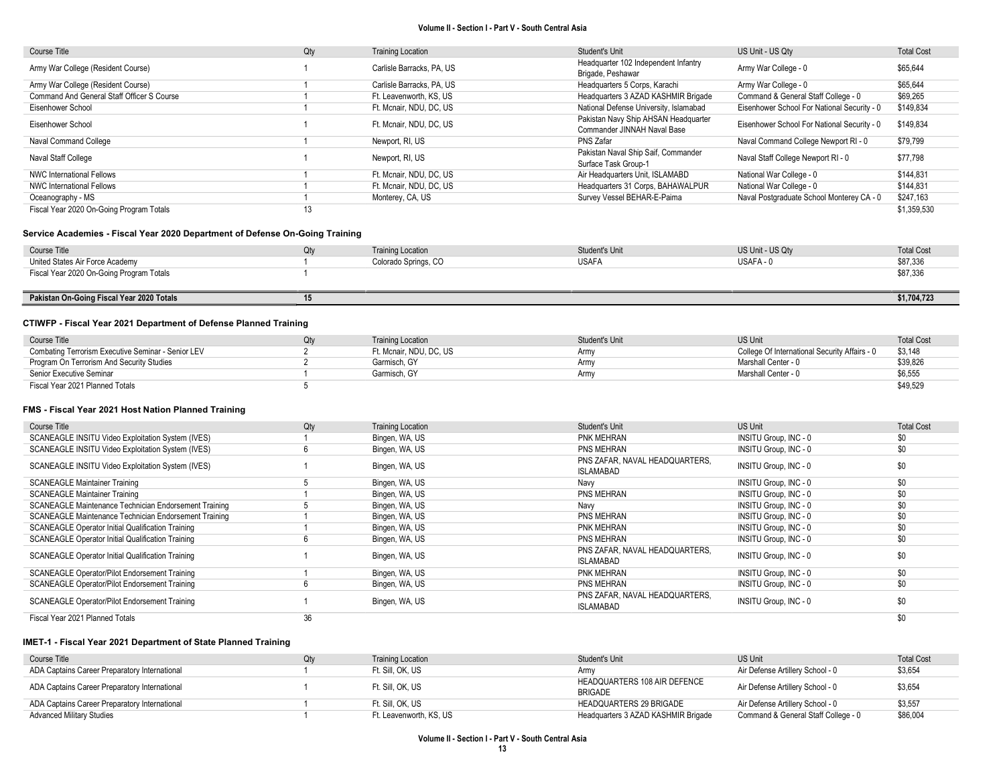| Course Title                               | Qty | <b>Training Location</b>  | Student's Unit                                                      | US Unit - US Qtv                            | <b>Total Cost</b> |
|--------------------------------------------|-----|---------------------------|---------------------------------------------------------------------|---------------------------------------------|-------------------|
| Army War College (Resident Course)         |     | Carlisle Barracks, PA, US | Headquarter 102 Independent Infantry<br>Brigade, Peshawar           | Army War College - 0                        | \$65,644          |
| Army War College (Resident Course)         |     | Carlisle Barracks, PA, US | Headquarters 5 Corps, Karachi                                       | Army War College - 0                        | \$65,644          |
| Command And General Staff Officer S Course |     | Ft. Leavenworth. KS. US   | Headquarters 3 AZAD KASHMIR Brigade                                 | Command & General Staff College - 0         | \$69,265          |
| Eisenhower School                          |     | Ft. Mcnair, NDU, DC, US   | National Defense University, Islamabad                              | Eisenhower School For National Security - 0 | \$149,834         |
| Eisenhower School                          |     | Ft. Mcnair, NDU, DC, US   | Pakistan Navy Ship AHSAN Headquarter<br>Commander JINNAH Naval Base | Eisenhower School For National Security - 0 | \$149,834         |
| Naval Command College                      |     | Newport, RI, US           | PNS Zafar                                                           | Naval Command College Newport RI - 0        | \$79,799          |
| Naval Staff College                        |     | Newport, RI, US           | Pakistan Naval Ship Saif, Commander<br>Surface Task Group-1         | Naval Staff College Newport RI - 0          | \$77,798          |
| <b>NWC International Fellows</b>           |     | Ft. Mcnair, NDU, DC, US   | Air Headquarters Unit, ISLAMABD                                     | National War College - 0                    | \$144.831         |
| <b>NWC International Fellows</b>           |     | Ft. Mcnair, NDU, DC, US   | Headquarters 31 Corps, BAHAWALPUR                                   | National War College - 0                    | \$144.831         |
| Oceanography - MS                          |     | Monterey, CA, US          | Survey Vessel BEHAR-E-Paima                                         | Naval Postgraduate School Monterey CA - 0   | \$247,163         |
| Fiscal Year 2020 On-Going Program Totals   | 13  |                           |                                                                     |                                             | \$1,359,530       |

#### Service Academies - Fiscal Year 2020 Department of Defense On-Going Training

| Course Title                              | <b>Training Location</b> | Student's Unit | US Unit - US Qtv | <b>Total Cost</b> |
|-------------------------------------------|--------------------------|----------------|------------------|-------------------|
| United States Air Force Academy           | Colorado Springs, CO     | <b>USAFA</b>   | USAFA - 0        | \$87,336          |
| Fiscal Year 2020 On-Going Program Totals  |                          |                |                  | \$87,336          |
|                                           |                          |                |                  |                   |
| Pakistan On-Going Fiscal Year 2020 Totals |                          |                |                  | \$1,704,723       |

### CTIWFP - Fiscal Year 2021 Department of Defense Planned Training

| Course Title                                       | Qtv | <b>Training Location</b> | Student's Unit | <b>US Unit</b>                                | <b>Total Cost</b> |
|----------------------------------------------------|-----|--------------------------|----------------|-----------------------------------------------|-------------------|
| Combating Terrorism Executive Seminar - Senior LEV |     | Ft. Mcnair. NDU. DC. US  | Army           | College Of International Security Affairs - 0 | \$3,148           |
| Program On Terrorism And Security Studies          |     | Garmisch, GY             | Army           | Marshall Center - 0                           | \$39,826          |
| Senior Executive Seminar                           |     | Garmisch, GY             | <b>Arm</b> y   | Marshall Center - 0                           | \$6,555           |
| Fiscal Year 2021 Planned Totals                    |     |                          |                |                                               | \$49,529          |

#### FMS - Fiscal Year 2021 Host Nation Planned Training

| Course Title                                             | Qty | <b>Training Location</b> | Student's Unit                              | <b>US Unit</b>        | <b>Total Cost</b> |
|----------------------------------------------------------|-----|--------------------------|---------------------------------------------|-----------------------|-------------------|
| SCANEAGLE INSITU Video Exploitation System (IVES)        |     | Bingen, WA, US           | PNK MEHRAN                                  | INSITU Group, INC - 0 | \$0               |
| SCANEAGLE INSITU Video Exploitation System (IVES)        |     | Bingen, WA, US           | PNS MEHRAN                                  | INSITU Group, INC - 0 | \$0               |
| SCANEAGLE INSITU Video Exploitation System (IVES)        |     | Bingen, WA, US           | PNS ZAFAR, NAVAL HEADQUARTERS.<br>ISLAMABAD | INSITU Group, INC - 0 | \$0               |
| <b>SCANEAGLE Maintainer Training</b>                     |     | Bingen, WA, US           | Navy                                        | INSITU Group, INC - 0 | \$0               |
| <b>SCANEAGLE Maintainer Training</b>                     |     | Bingen, WA, US           | PNS MEHRAN                                  | INSITU Group, INC - 0 | \$0               |
| SCANEAGLE Maintenance Technician Endorsement Training    |     | Bingen, WA, US           | Navv                                        | INSITU Group, INC - 0 | \$0               |
| SCANEAGLE Maintenance Technician Endorsement Training    |     | Bingen, WA, US           | PNS MEHRAN                                  | INSITU Group, INC - 0 | \$0               |
| SCANEAGLE Operator Initial Qualification Training        |     | Bingen, WA, US           | PNK MEHRAN                                  | INSITU Group, INC - 0 | \$0               |
| <b>SCANEAGLE Operator Initial Qualification Training</b> |     | Bingen, WA, US           | PNS MEHRAN                                  | INSITU Group, INC - 0 | \$0               |
| <b>SCANEAGLE Operator Initial Qualification Training</b> |     | Bingen, WA, US           | PNS ZAFAR, NAVAL HEADQUARTERS,<br>ISLAMABAD | INSITU Group, INC - 0 | \$0               |
| SCANEAGLE Operator/Pilot Endorsement Training            |     | Bingen, WA, US           | PNK MEHRAN                                  | INSITU Group, INC - 0 | \$0               |
| SCANEAGLE Operator/Pilot Endorsement Training            |     | Bingen, WA, US           | PNS MEHRAN                                  | INSITU Group, INC - 0 | \$0               |
| SCANEAGLE Operator/Pilot Endorsement Training            |     | Bingen, WA, US           | PNS ZAFAR, NAVAL HEADQUARTERS.<br>ISLAMABAD | INSITU Group, INC - 0 | \$0               |
| Fiscal Year 2021 Planned Totals                          | 36  |                          |                                             |                       | \$0               |

| Course Title                                  | Qtv | <b>Training Location</b> | Student's Unit                                 | US Unit                             | <b>Total Cost</b> |
|-----------------------------------------------|-----|--------------------------|------------------------------------------------|-------------------------------------|-------------------|
| ADA Captains Career Preparatory International |     | Ft. Sill. OK. US         | Army                                           | Air Defense Artillery School - 0    | \$3,654           |
| ADA Captains Career Preparatory International |     | Ft. Sill. OK. US         | HEADQUARTERS 108 AIR DEFENCE<br><b>BRIGADE</b> | Air Defense Artillery School - 0    | \$3,654           |
| ADA Captains Career Preparatory International |     | Ft. Sill. OK. US         | HEADQUARTERS 29 BRIGADE                        | Air Defense Artillery School - 0    | \$3,557           |
| <b>Advanced Military Studies</b>              |     | Ft. Leavenworth. KS. US  | Headquarters 3 AZAD KASHMIR Brigade            | Command & General Staff College - 0 | \$86,004          |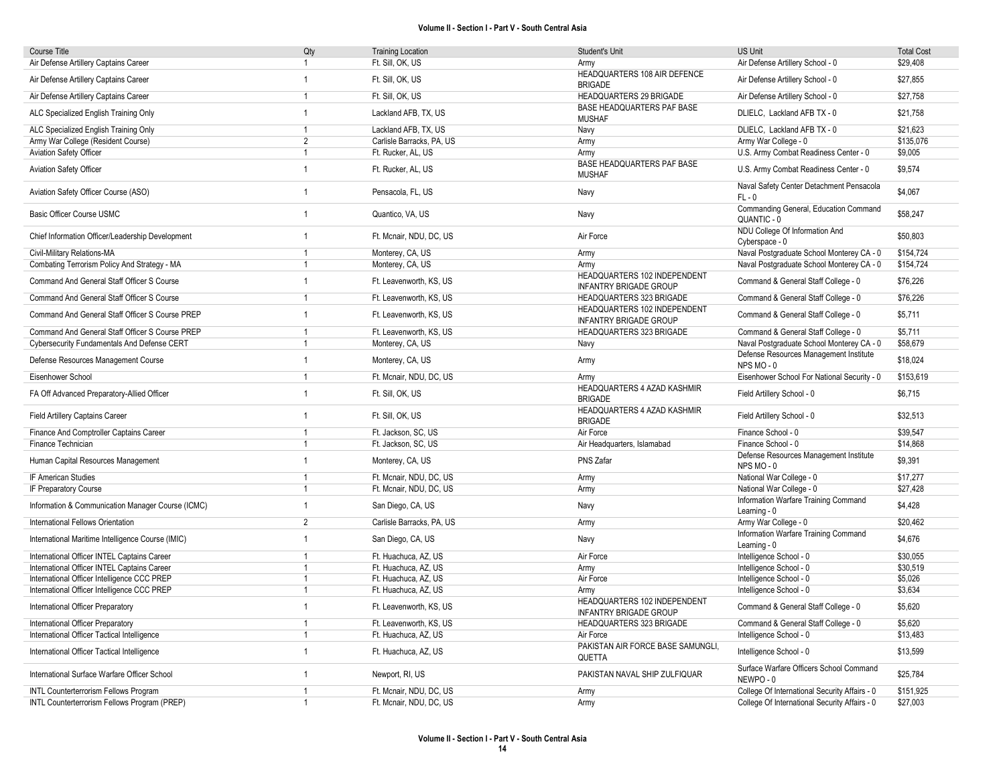| Course Title                                      | Qty            | <b>Training Location</b>  | Student's Unit                                                | <b>US Unit</b>                                       | <b>Total Cost</b> |
|---------------------------------------------------|----------------|---------------------------|---------------------------------------------------------------|------------------------------------------------------|-------------------|
| Air Defense Artillery Captains Career             | $\mathbf{1}$   | Ft. Sill, OK, US          | Army                                                          | Air Defense Artillery School - 0                     | \$29,408          |
| Air Defense Artillery Captains Career             | $\mathbf{1}$   | Ft. Sill, OK, US          | HEADQUARTERS 108 AIR DEFENCE<br><b>BRIGADE</b>                | Air Defense Artillery School - 0                     | \$27,855          |
| Air Defense Artillery Captains Career             | $\mathbf{1}$   | Ft. Sill, OK, US          | HEADQUARTERS 29 BRIGADE                                       | Air Defense Artillery School - 0                     | \$27,758          |
| ALC Specialized English Training Only             | $\mathbf{1}$   | Lackland AFB, TX, US      | BASE HEADQUARTERS PAF BASE<br><b>MUSHAF</b>                   | DLIELC, Lackland AFB TX - 0                          | \$21,758          |
| ALC Specialized English Training Only             | $\overline{1}$ | Lackland AFB, TX, US      | Navy                                                          | DLIELC, Lackland AFB TX - 0                          | \$21.623          |
| Army War College (Resident Course)                | $\overline{2}$ | Carlisle Barracks, PA, US | Army                                                          | Army War College - 0                                 | \$135,076         |
| <b>Aviation Safety Officer</b>                    | $\mathbf{1}$   | Ft. Rucker, AL, US        | Army                                                          | U.S. Army Combat Readiness Center - 0                | \$9,005           |
| Aviation Safety Officer                           | $\mathbf{1}$   | Ft. Rucker, AL, US        | BASE HEADQUARTERS PAF BASE<br><b>MUSHAF</b>                   | U.S. Army Combat Readiness Center - 0                | \$9,574           |
| Aviation Safety Officer Course (ASO)              | $\mathbf{1}$   | Pensacola, FL, US         | Navy                                                          | Naval Safety Center Detachment Pensacola<br>$FL - 0$ | \$4,067           |
| <b>Basic Officer Course USMC</b>                  | $\mathbf{1}$   | Quantico, VA, US          | Navy                                                          | Commanding General, Education Command<br>QUANTIC - 0 | \$58,247          |
| Chief Information Officer/Leadership Development  | $\mathbf{1}$   | Ft. Mcnair, NDU, DC, US   | Air Force                                                     | NDU College Of Information And<br>Cyberspace - 0     | \$50,803          |
| Civil-Military Relations-MA                       | $\overline{1}$ | Monterey, CA, US          | Army                                                          | Naval Postgraduate School Monterey CA - 0            | \$154,724         |
| Combating Terrorism Policy And Strategy - MA      | $\mathbf{1}$   | Monterey, CA, US          | Army                                                          | Naval Postgraduate School Monterey CA - 0            | \$154,724         |
| Command And General Staff Officer S Course        | $\mathbf{1}$   | Ft. Leavenworth, KS, US   | HEADQUARTERS 102 INDEPENDENT<br><b>INFANTRY BRIGADE GROUP</b> | Command & General Staff College - 0                  | \$76,226          |
| Command And General Staff Officer S Course        | $\mathbf{1}$   | Ft. Leavenworth, KS, US   | <b>HEADQUARTERS 323 BRIGADE</b>                               | Command & General Staff College - 0                  | \$76,226          |
| Command And General Staff Officer S Course PREP   | $\overline{1}$ | Ft. Leavenworth, KS, US   | HEADQUARTERS 102 INDEPENDENT<br><b>INFANTRY BRIGADE GROUP</b> | Command & General Staff College - 0                  | \$5,711           |
| Command And General Staff Officer S Course PREP   | $\overline{1}$ | Ft. Leavenworth, KS, US   | HEADQUARTERS 323 BRIGADE                                      | Command & General Staff College - 0                  | \$5,711           |
| Cybersecurity Fundamentals And Defense CERT       | $\mathbf{1}$   | Monterey, CA, US          | Navy                                                          | Naval Postgraduate School Monterey CA - 0            | \$58,679          |
| Defense Resources Management Course               | $\overline{1}$ | Monterey, CA, US          | Army                                                          | Defense Resources Management Institute<br>NPS MO-0   | \$18,024          |
| Eisenhower School                                 | $\overline{1}$ | Ft. Mcnair, NDU, DC, US   | Army                                                          | Eisenhower School For National Security - 0          | \$153,619         |
| FA Off Advanced Preparatory-Allied Officer        | $\mathbf{1}$   | Ft. Sill, OK, US          | HEADQUARTERS 4 AZAD KASHMIR<br><b>BRIGADE</b>                 | Field Artillery School - 0                           | \$6,715           |
| Field Artillery Captains Career                   | $\mathbf{1}$   | Ft. Sill, OK, US          | HEADQUARTERS 4 AZAD KASHMIR<br><b>BRIGADE</b>                 | Field Artillery School - 0                           | \$32,513          |
| Finance And Comptroller Captains Career           | $\mathbf{1}$   | Ft. Jackson, SC. US       | Air Force                                                     | Finance School - 0                                   | \$39.547          |
| Finance Technician                                | $\mathbf{1}$   | Ft. Jackson, SC, US       | Air Headquarters, Islamabad                                   | Finance School - 0                                   | \$14,868          |
| Human Capital Resources Management                | $\mathbf{1}$   | Monterey, CA, US          | PNS Zafar                                                     | Defense Resources Management Institute<br>NPS MO-0   | \$9,391           |
| IF American Studies                               | $\overline{1}$ | Ft. Mcnair, NDU, DC, US   | Army                                                          | National War College - 0                             | \$17,277          |
| IF Preparatory Course                             | $\mathbf{1}$   | Ft. Mcnair, NDU, DC, US   | Army                                                          | National War College - 0                             | \$27,428          |
| Information & Communication Manager Course (ICMC) | $\mathbf{1}$   | San Diego, CA, US         | Navy                                                          | Information Warfare Training Command<br>Learning - 0 | \$4,428           |
| International Fellows Orientation                 | $\overline{2}$ | Carlisle Barracks, PA, US | Army                                                          | Army War College - 0                                 | \$20,462          |
| International Maritime Intelligence Course (IMIC) | $\mathbf{1}$   | San Diego, CA, US         | Navy                                                          | Information Warfare Training Command<br>Learning - 0 | \$4,676           |
| International Officer INTEL Captains Career       | $\mathbf{1}$   | Ft. Huachuca, AZ, US      | Air Force                                                     | Intelligence School - 0                              | \$30.055          |
| International Officer INTEL Captains Career       | $\overline{1}$ | Ft. Huachuca, AZ, US      | Army                                                          | Intelligence School - 0                              | \$30,519          |
| International Officer Intelligence CCC PREP       | $\mathbf{1}$   | Ft. Huachuca, AZ, US      | Air Force                                                     | Intelligence School - 0                              | \$5,026           |
| International Officer Intelligence CCC PREP       | $\mathbf{1}$   | Ft. Huachuca, AZ, US      | Army                                                          | Intelligence School - 0                              | \$3,634           |
| International Officer Preparatory                 | $\mathbf{1}$   | Ft. Leavenworth, KS, US   | HEADQUARTERS 102 INDEPENDENT<br><b>INFANTRY BRIGADE GROUP</b> | Command & General Staff College - 0                  | \$5,620           |
| International Officer Preparatory                 | $\mathbf{1}$   | Ft. Leavenworth, KS, US   | <b>HEADQUARTERS 323 BRIGADE</b>                               | Command & General Staff College - 0                  | \$5,620           |
| International Officer Tactical Intelligence       | 1              | Ft. Huachuca, AZ, US      | Air Force                                                     | Intelligence School - 0                              | \$13,483          |
| International Officer Tactical Intelligence       | $\mathbf{1}$   | Ft. Huachuca, AZ, US      | PAKISTAN AIR FORCE BASE SAMUNGLI,<br>QUETTA                   | Intelligence School - 0                              | \$13,599          |
| International Surface Warfare Officer School      | $\mathbf{1}$   | Newport, RI, US           | PAKISTAN NAVAL SHIP ZULFIQUAR                                 | Surface Warfare Officers School Command<br>NEWPO-0   | \$25,784          |
| <b>INTL Counterterrorism Fellows Program</b>      | $\mathbf{1}$   | Ft. Mcnair, NDU, DC, US   | Army                                                          | College Of International Security Affairs - 0        | \$151,925         |
| INTL Counterterrorism Fellows Program (PREP)      | $\mathbf{1}$   | Ft. Mcnair, NDU, DC, US   | Army                                                          | College Of International Security Affairs - 0        | \$27,003          |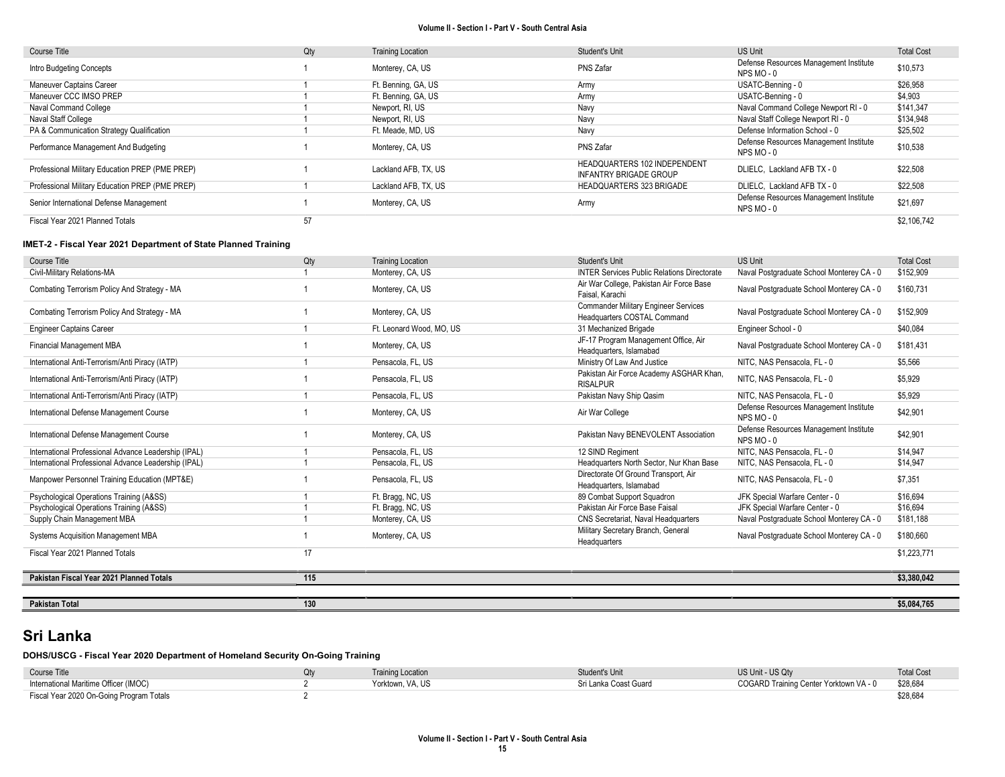| Course Title                                    | Qty | <b>Training Location</b> | Student's Unit                                         | <b>US Unit</b>                                       | <b>Total Cost</b> |
|-------------------------------------------------|-----|--------------------------|--------------------------------------------------------|------------------------------------------------------|-------------------|
| Intro Budgeting Concepts                        |     | Monterey, CA, US         | PNS Zafar                                              | Defense Resources Management Institute<br>NPS MO-0   | \$10,573          |
| <b>Maneuver Captains Career</b>                 |     | Ft. Benning, GA, US      | Army                                                   | USATC-Benning - 0                                    | \$26,958          |
| Maneuver CCC IMSO PREP                          |     | Ft. Benning, GA, US      | Army                                                   | USATC-Benning - 0                                    | \$4,903           |
| Naval Command College                           |     | Newport, RI, US          | Navy                                                   | Naval Command College Newport RI - 0                 | \$141,347         |
| Naval Staff College                             |     | Newport, RI, US          | Navy                                                   | Naval Staff College Newport RI - 0                   | \$134,948         |
| PA & Communication Strategy Qualification       |     | Ft. Meade, MD, US        | Navy                                                   | Defense Information School - 0                       | \$25,502          |
| Performance Management And Budgeting            |     | Monterey, CA, US         | PNS Zafar                                              | Defense Resources Management Institute<br>NPS MO - 0 | \$10,538          |
| Professional Military Education PREP (PME PREP) |     | Lackland AFB, TX, US     | HEADQUARTERS 102 INDEPENDENT<br>INFANTRY BRIGADE GROUP | DLIELC. Lackland AFB TX - 0                          | \$22,508          |
| Professional Military Education PREP (PME PREP) |     | Lackland AFB, TX, US     | <b>HEADQUARTERS 323 BRIGADE</b>                        | DLIELC. Lackland AFB TX - 0                          | \$22.508          |
| Senior International Defense Management         |     | Monterey, CA, US         | Army                                                   | Defense Resources Management Institute<br>NPS MO - 0 | \$21,697          |
| Fiscal Year 2021 Planned Totals                 | 57  |                          |                                                        |                                                      | \$2,106.742       |

### IMET-2 - Fiscal Year 2021 Department of State Planned Training

| Course Title                                         | Qty | <b>Training Location</b> | Student's Unit                                                             | <b>US Unit</b>                                     | <b>Total Cost</b> |
|------------------------------------------------------|-----|--------------------------|----------------------------------------------------------------------------|----------------------------------------------------|-------------------|
| Civil-Military Relations-MA                          |     | Monterey, CA, US         | <b>INTER Services Public Relations Directorate</b>                         | Naval Postgraduate School Monterey CA - 0          | \$152,909         |
| Combating Terrorism Policy And Strategy - MA         |     | Monterey, CA, US         | Air War College, Pakistan Air Force Base<br>Faisal, Karachi                | Naval Postgraduate School Monterey CA - 0          | \$160.731         |
| Combating Terrorism Policy And Strategy - MA         |     | Monterey, CA, US         | <b>Commander Military Engineer Services</b><br>Headquarters COSTAL Command | Naval Postgraduate School Monterey CA - 0          | \$152,909         |
| <b>Engineer Captains Career</b>                      |     | Ft. Leonard Wood, MO. US | 31 Mechanized Brigade                                                      | Engineer School - 0                                | \$40,084          |
| <b>Financial Management MBA</b>                      |     | Monterey, CA, US         | JF-17 Program Management Office, Air<br>Headquarters, Islamabad            | Naval Postgraduate School Monterey CA - 0          | \$181.431         |
| International Anti-Terrorism/Anti Piracy (IATP)      |     | Pensacola, FL, US        | Ministry Of Law And Justice                                                | NITC, NAS Pensacola, FL - 0                        | \$5.566           |
| International Anti-Terrorism/Anti Piracy (IATP)      |     | Pensacola, FL, US        | Pakistan Air Force Academy ASGHAR Khan.<br><b>RISALPUR</b>                 | NITC, NAS Pensacola, FL - 0                        | \$5.929           |
| International Anti-Terrorism/Anti Piracy (IATP)      |     | Pensacola, FL, US        | Pakistan Navy Ship Qasim                                                   | NITC. NAS Pensacola. FL - 0                        | \$5,929           |
| International Defense Management Course              |     | Monterey, CA, US         | Air War College                                                            | Defense Resources Management Institute<br>NPS MO-0 | \$42,901          |
| International Defense Management Course              |     | Monterey, CA, US         | Pakistan Navy BENEVOLENT Association                                       | Defense Resources Management Institute<br>NPS MO-0 | \$42,901          |
| International Professional Advance Leadership (IPAL) |     | Pensacola, FL, US        | 12 SIND Regiment                                                           | NITC. NAS Pensacola. FL - 0                        | \$14,947          |
| International Professional Advance Leadership (IPAL) |     | Pensacola, FL, US        | Headquarters North Sector, Nur Khan Base                                   | NITC, NAS Pensacola, FL - 0                        | \$14,947          |
| Manpower Personnel Training Education (MPT&E)        |     | Pensacola, FL, US        | Directorate Of Ground Transport, Air<br>Headquarters, Islamabad            | NITC. NAS Pensacola. FL - 0                        | \$7,351           |
| Psychological Operations Training (A&SS)             |     | Ft. Bragg, NC, US        | 89 Combat Support Squadron                                                 | JFK Special Warfare Center - 0                     | \$16.694          |
| Psychological Operations Training (A&SS)             |     | Ft. Bragg, NC, US        | Pakistan Air Force Base Faisal                                             | JFK Special Warfare Center - 0                     | \$16,694          |
| Supply Chain Management MBA                          |     | Monterey, CA, US         | CNS Secretariat, Naval Headquarters                                        | Naval Postgraduate School Monterey CA - 0          | \$181,188         |
| <b>Systems Acquisition Management MBA</b>            |     | Monterey, CA, US         | Military Secretary Branch, General<br>Headquarters                         | Naval Postgraduate School Monterey CA - 0          | \$180,660         |
| Fiscal Year 2021 Planned Totals                      | 17  |                          |                                                                            |                                                    | \$1,223,771       |
| Pakistan Fiscal Year 2021 Planned Totals             | 115 |                          |                                                                            |                                                    | \$3.380.042       |
|                                                      |     |                          |                                                                            |                                                    |                   |

# Sri Lanka

DOHS/USCG - Fiscal Year 2020 Department of Homeland Security On-Going Training

| Course Title                             | <b>Training Location</b> | Student's Unit        | US Unit - US Qty                       | <b>Total Cost</b> |
|------------------------------------------|--------------------------|-----------------------|----------------------------------------|-------------------|
| International Maritime Officer (IMOC)    | Yorktown, VA, US         | Sri Lanka Coast Guard | COGARD Training Center Yorktown VA - 0 | \$28,684          |
| Fiscal Year 2020 On-Going Program Totals |                          |                       |                                        | \$28,684          |

Pakistan Total 130 \$5,084,765 \$5,084,765 \$5,084,765 \$1,000 \$1,000 \$1,000 \$1,000 \$1,000 \$1,000 \$1,000 \$1,000 \$1,000 \$1,000 \$1,000 \$1,000 \$1,000 \$1,000 \$1,000 \$1,000 \$1,000 \$1,000 \$1,000 \$1,000 \$1,000 \$1,000 \$1,000 \$1,000 \$1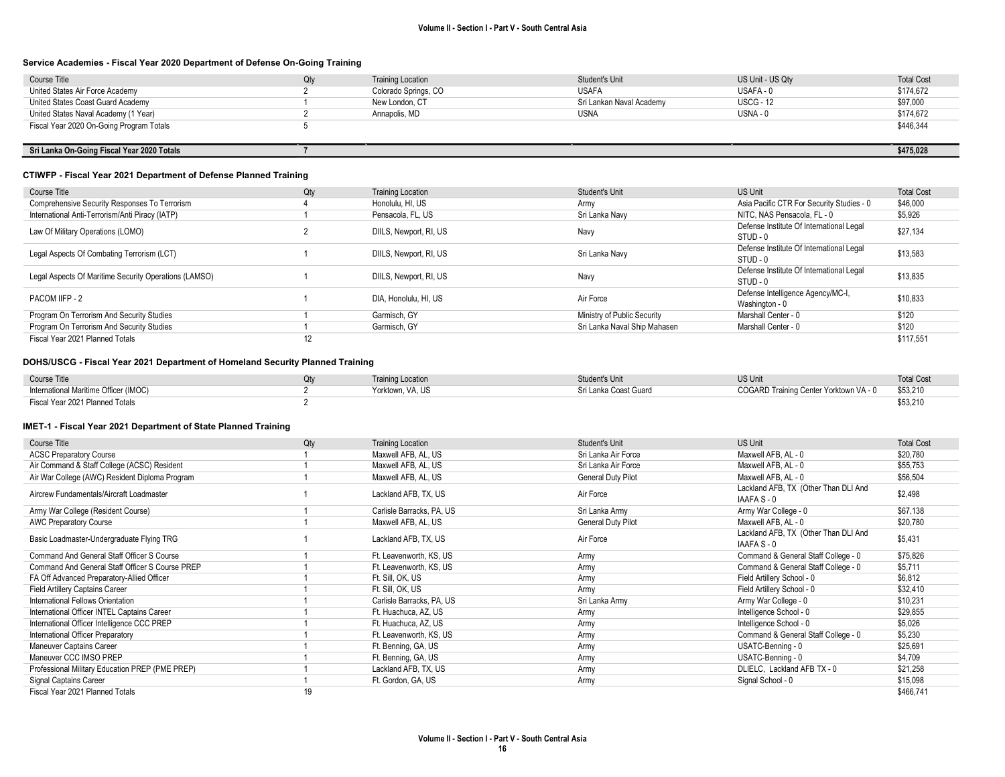#### Service Academies - Fiscal Year 2020 Department of Defense On-Going Training

| Course Title                               | Qtv | <b>Training Location</b> | Student's Unit           | US Unit - US Qty | <b>Total Cost</b> |
|--------------------------------------------|-----|--------------------------|--------------------------|------------------|-------------------|
| United States Air Force Academy            |     | Colorado Springs, CO     | <b>USAFA</b>             | USAFA - 0        | \$174,672         |
| United States Coast Guard Academy          |     | New London, CT           | Sri Lankan Naval Academv | <b>USCG - 12</b> | \$97,000          |
| United States Naval Academy (1 Year)       |     | Annapolis, MD            | <b>USNA</b>              | USNA - 0         | \$174,672         |
| Fiscal Year 2020 On-Going Program Totals   |     |                          |                          |                  | \$446,344         |
|                                            |     |                          |                          |                  |                   |
| Sri Lanka On-Going Fiscal Year 2020 Totals |     |                          |                          |                  | \$475.028         |

#### CTIWFP - Fiscal Year 2021 Department of Defense Planned Training

| Course Title                                          | Qty | <b>Training Location</b> | Student's Unit               | <b>US Unit</b>                                       | <b>Total Cost</b> |
|-------------------------------------------------------|-----|--------------------------|------------------------------|------------------------------------------------------|-------------------|
| Comprehensive Security Responses To Terrorism         |     | Honolulu, HI, US         | Army                         | Asia Pacific CTR For Security Studies - 0            | \$46,000          |
| International Anti-Terrorism/Anti Piracy (IATP)       |     | Pensacola, FL, US        | Sri Lanka Navy               | NITC. NAS Pensacola, FL - 0                          | \$5,926           |
| Law Of Military Operations (LOMO)                     |     | DIILS, Newport, RI, US   | Navy                         | Defense Institute Of International Legal<br>STUD - 0 | \$27,134          |
| Legal Aspects Of Combating Terrorism (LCT)            |     | DIILS, Newport, RI, US   | Sri Lanka Navv               | Defense Institute Of International Legal<br>STUD - 0 | \$13,583          |
| Legal Aspects Of Maritime Security Operations (LAMSO) |     | DIILS, Newport, RI, US   | Navy                         | Defense Institute Of International Legal<br>STUD - 0 | \$13,835          |
| PACOM IIFP - 2                                        |     | DIA, Honolulu, HI, US    | Air Force                    | Defense Intelligence Agency/MC-I,<br>Washington - 0  | \$10,833          |
| Program On Terrorism And Security Studies             |     | Garmisch, GY             | Ministry of Public Security  | Marshall Center - 0                                  | \$120             |
| Program On Terrorism And Security Studies             |     | Garmisch, GY             | Sri Lanka Naval Ship Mahasen | Marshall Center - 0                                  | \$120             |
| Fiscal Year 2021 Planned Totals                       | 12  |                          |                              |                                                      | \$117.551         |

#### DOHS/USCG - Fiscal Year 2021 Department of Homeland Security Planned Training

| Course Title                          | <b>Training Location</b> | Student's Unit        | <b>US Unit</b>                         | <b>Total Cost</b> |
|---------------------------------------|--------------------------|-----------------------|----------------------------------------|-------------------|
| International Maritime Officer (IMOC) | Yorktown, VA, US         | Sri Lanka Coast Guard | COGARD Training Center Yorktown VA - 0 | \$53,210          |
| Fiscal Year 2021 Planned Totals       |                          |                       |                                        | \$53,210          |

| Course Title                                    | Qty | <b>Training Location</b>  | Student's Unit      | <b>US Unit</b>                                      | <b>Total Cost</b> |
|-------------------------------------------------|-----|---------------------------|---------------------|-----------------------------------------------------|-------------------|
| <b>ACSC Preparatory Course</b>                  |     | Maxwell AFB, AL, US       | Sri Lanka Air Force | Maxwell AFB, AL - 0                                 | \$20,780          |
| Air Command & Staff College (ACSC) Resident     |     | Maxwell AFB, AL, US       | Sri Lanka Air Force | Maxwell AFB, AL - 0                                 | \$55,753          |
| Air War College (AWC) Resident Diploma Program  |     | Maxwell AFB, AL, US       | General Duty Pilot  | Maxwell AFB, AL - 0                                 | \$56,504          |
| Aircrew Fundamentals/Aircraft Loadmaster        |     | Lackland AFB, TX, US      | Air Force           | Lackland AFB, TX (Other Than DLI And<br>IAAFA S - 0 | \$2,498           |
| Army War College (Resident Course)              |     | Carlisle Barracks, PA, US | Sri Lanka Army      | Army War College - 0                                | \$67,138          |
| <b>AWC Preparatory Course</b>                   |     | Maxwell AFB, AL, US       | General Duty Pilot  | Maxwell AFB, AL - 0                                 | \$20,780          |
| Basic Loadmaster-Undergraduate Flying TRG       |     | Lackland AFB, TX, US      | Air Force           | Lackland AFB, TX (Other Than DLI And<br>IAAFA S - 0 | \$5,431           |
| Command And General Staff Officer S Course      |     | Ft. Leavenworth, KS, US   | Army                | Command & General Staff College - 0                 | \$75,826          |
| Command And General Staff Officer S Course PREP |     | Ft. Leavenworth, KS, US   | Army                | Command & General Staff College - 0                 | \$5,711           |
| FA Off Advanced Preparatory-Allied Officer      |     | Ft. Sill, OK, US          | Army                | Field Artillery School - 0                          | \$6,812           |
| Field Artillery Captains Career                 |     | Ft. Sill, OK, US          | Army                | Field Artillery School - 0                          | \$32,410          |
| International Fellows Orientation               |     | Carlisle Barracks, PA, US | Sri Lanka Army      | Army War College - 0                                | \$10,231          |
| International Officer INTEL Captains Career     |     | Ft. Huachuca, AZ, US      | Army                | Intelligence School - 0                             | \$29,855          |
| International Officer Intelligence CCC PREP     |     | Ft. Huachuca, AZ, US      | Army                | Intelligence School - 0                             | \$5,026           |
| International Officer Preparatory               |     | Ft. Leavenworth, KS, US   | Army                | Command & General Staff College - 0                 | \$5,230           |
| Maneuver Captains Career                        |     | Ft. Benning, GA, US       | Army                | USATC-Benning - 0                                   | \$25,691          |
| Maneuver CCC IMSO PREP                          |     | Ft. Benning, GA, US       | Army                | USATC-Benning - 0                                   | \$4,709           |
| Professional Military Education PREP (PME PREP) |     | Lackland AFB, TX, US      | Army                | DLIELC, Lackland AFB TX - 0                         | \$21,258          |
| Signal Captains Career                          |     | Ft. Gordon, GA, US        | Army                | Signal School - 0                                   | \$15,098          |
| Fiscal Year 2021 Planned Totals                 | 19  |                           |                     |                                                     | \$466,741         |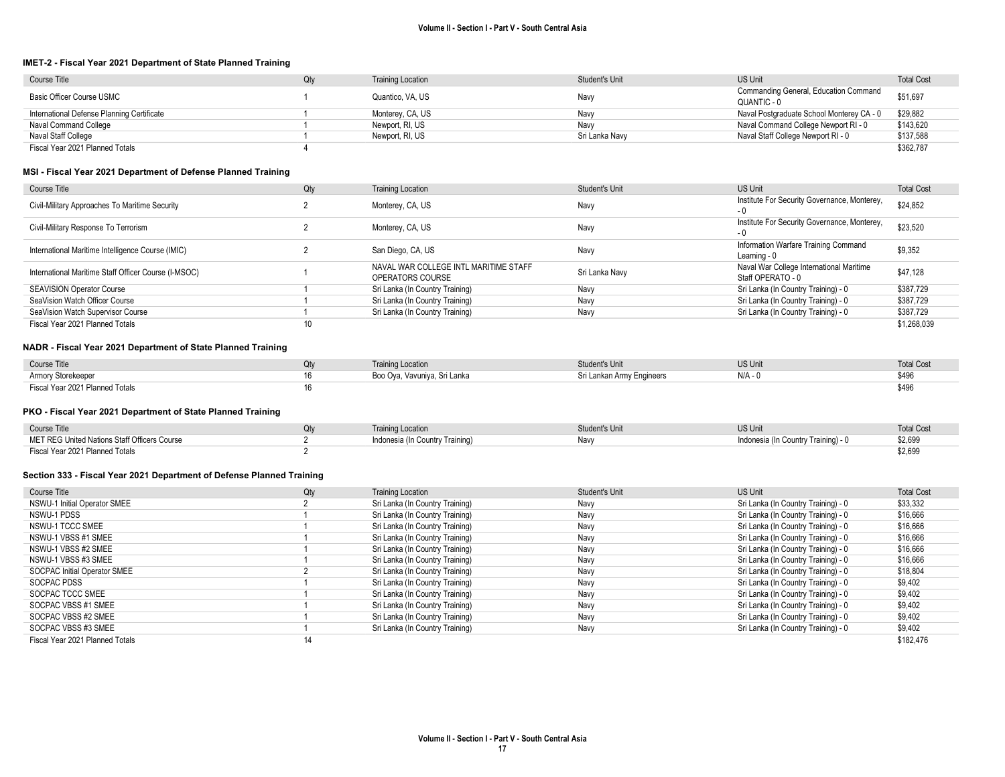#### IMET-2 - Fiscal Year 2021 Department of State Planned Training

| Course Title                               | Qty | <b>Training Location</b> | Student's Unit | <b>US Unit</b>                                       | <b>Total Cost</b> |
|--------------------------------------------|-----|--------------------------|----------------|------------------------------------------------------|-------------------|
| Basic Officer Course USMC                  |     | Quantico, VA, US         | Navy           | Commanding General, Education Command<br>QUANTIC - 0 | \$51,697          |
| International Defense Planning Certificate |     | Monterey, CA, US         | Navy           | Naval Postgraduate School Monterey CA - 0            | \$29.882          |
| Naval Command College                      |     | Newport, RI, US          | Navv           | Naval Command College Newport RI - 0                 | \$143,620         |
| Naval Staff College                        |     | Newport, RI, US          | Sri Lanka Navy | Naval Staff College Newport RI - 0                   | \$137,588         |
| Fiscal Year 2021 Planned Totals            |     |                          |                |                                                      | \$362,787         |

#### MSI - Fiscal Year 2021 Department of Defense Planned Training

| Course Title                                         | Qty | <b>Training Location</b>                                  | Student's Unit | <b>US Unit</b>                                                | <b>Total Cost</b> |
|------------------------------------------------------|-----|-----------------------------------------------------------|----------------|---------------------------------------------------------------|-------------------|
| Civil-Military Approaches To Maritime Security       |     | Monterey, CA, US                                          | Navy           | Institute For Security Governance, Monterey,                  | \$24,852          |
| Civil-Military Response To Terrorism                 |     | Monterey, CA, US                                          | Navy           | Institute For Security Governance, Monterey,                  | \$23,520          |
| International Maritime Intelligence Course (IMIC)    |     | San Diego, CA, US                                         | Navy           | Information Warfare Training Command<br>Learning - 0          | \$9,352           |
| International Maritime Staff Officer Course (I-MSOC) |     | NAVAL WAR COLLEGE INTL MARITIME STAFF<br>OPERATORS COURSE | Sri Lanka Navy | Naval War College International Maritime<br>Staff OPERATO - 0 | \$47,128          |
| <b>SEAVISION Operator Course</b>                     |     | Sri Lanka (In Country Training)                           | Navy           | Sri Lanka (In Country Training) - 0                           | \$387,729         |
| SeaVision Watch Officer Course                       |     | Sri Lanka (In Country Training)                           | Navy           | Sri Lanka (In Country Training) - 0                           | \$387,729         |
| SeaVision Watch Supervisor Course                    |     | Sri Lanka (In Country Training)                           | Navy           | Sri Lanka (In Country Training) - 0                           | \$387.729         |
| Fiscal Year 2021 Planned Totals                      |     |                                                           |                |                                                               | \$1.268.039       |

#### NADR - Fiscal Year 2021 Department of State Planned Training

| Course Title                    | <b>Training Location</b>     | <b>Student's Unit</b>     | US Unit | <b>Total Cost</b> |
|---------------------------------|------------------------------|---------------------------|---------|-------------------|
| Armory Storekeeper              | Boo Oya, Vavuniya, Sri Lanka | Sri Lankan Army Engineers | N/A     |                   |
| Fiscal Year 2021 Planned Totals |                              |                           |         |                   |

#### PKO - Fiscal Year 2021 Department of State Planned Training

| Course Title                                 | <b>Training Location</b>        | Student's Unit | <b>US Unit</b>                      | <b>Total Cost</b> |
|----------------------------------------------|---------------------------------|----------------|-------------------------------------|-------------------|
| MET REG United Nations Staff Officers Course | Indonesia (In Country Training) | Navy           | Indonesia (In Country Training) - 0 | \$2,699           |
| Fiscal Year 2021 Planned Totals              |                                 |                |                                     | \$2,699           |

#### Section 333 - Fiscal Year 2021 Department of Defense Planned Training

| Course Title                    | Qty | <b>Training Location</b>        | Student's Unit | <b>US Unit</b>                      | <b>Total Cost</b> |
|---------------------------------|-----|---------------------------------|----------------|-------------------------------------|-------------------|
| NSWU-1 Initial Operator SMEE    |     | Sri Lanka (In Country Training) | Navy           | Sri Lanka (In Country Training) - 0 | \$33,332          |
| NSWU-1 PDSS                     |     | Sri Lanka (In Country Training) | Navy           | Sri Lanka (In Country Training) - 0 | \$16,666          |
| NSWU-1 TCCC SMEE                |     | Sri Lanka (In Country Training) | Navy           | Sri Lanka (In Country Training) - 0 | \$16,666          |
| NSWU-1 VBSS #1 SMEE             |     | Sri Lanka (In Country Training) | Navy           | Sri Lanka (In Country Training) - 0 | \$16,666          |
| NSWU-1 VBSS #2 SMEE             |     | Sri Lanka (In Country Training) | Navy           | Sri Lanka (In Country Training) - 0 | \$16,666          |
| NSWU-1 VBSS #3 SMEE             |     | Sri Lanka (In Country Training) | Navv           | Sri Lanka (In Country Training) - 0 | \$16,666          |
| SOCPAC Initial Operator SMEE    |     | Sri Lanka (In Country Training) | Navy           | Sri Lanka (In Country Training) - 0 | \$18,804          |
| SOCPAC PDSS                     |     | Sri Lanka (In Country Training) | Navy           | Sri Lanka (In Country Training) - 0 | \$9,402           |
| SOCPAC TCCC SMEE                |     | Sri Lanka (In Country Training) | Navy           | Sri Lanka (In Country Training) - 0 | \$9,402           |
| SOCPAC VBSS #1 SMEE             |     | Sri Lanka (In Country Training) | Navy           | Sri Lanka (In Country Training) - 0 | \$9,402           |
| SOCPAC VBSS #2 SMEE             |     | Sri Lanka (In Country Training) | Navy           | Sri Lanka (In Country Training) - 0 | \$9,402           |
| SOCPAC VBSS #3 SMEE             |     | Sri Lanka (In Country Training) | Navy           | Sri Lanka (In Country Training) - 0 | \$9,402           |
| Fiscal Year 2021 Planned Totals | 14  |                                 |                |                                     | \$182,476         |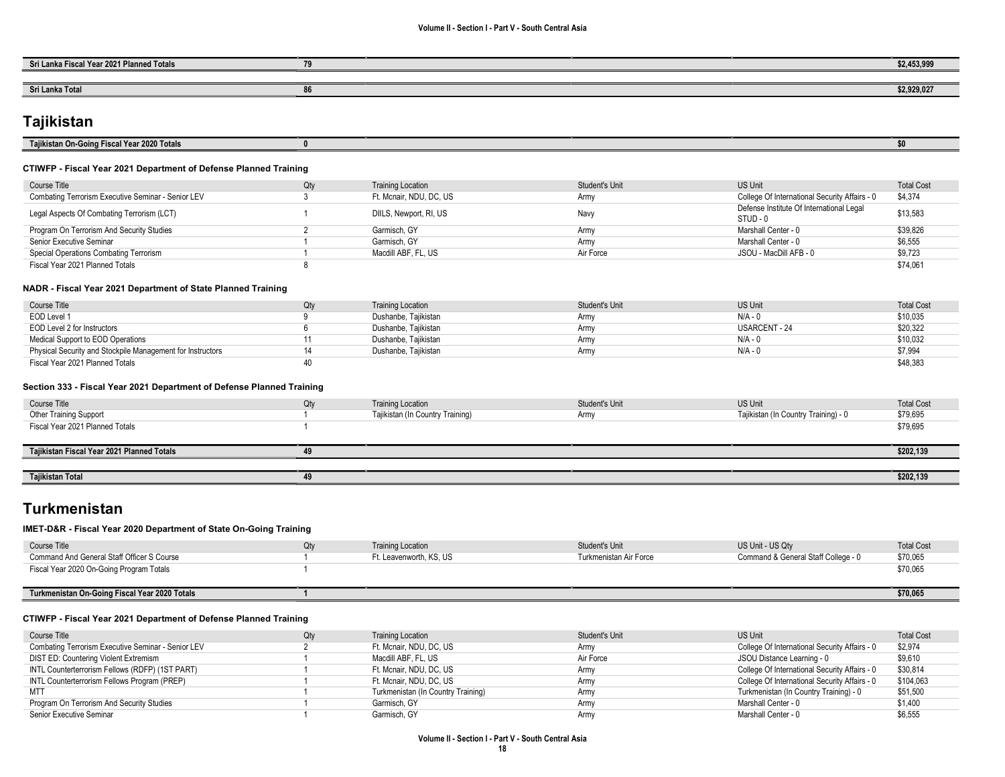| Sri Lanka Fiscal Year 2021 Planned Totals | $\sim$ | 62.452.000<br>のと、みしい、つつつ |
|-------------------------------------------|--------|--------------------------|
|                                           |        |                          |
| Sri Lanka Total                           | .u     | \$2,929,027              |

# **Tajikistan**

| Tajikistan On-Going Fiscal Year 2020 Totals                      |     |                          |                |                                                      | \$0               |
|------------------------------------------------------------------|-----|--------------------------|----------------|------------------------------------------------------|-------------------|
| CTIWFP - Fiscal Year 2021 Department of Defense Planned Training |     |                          |                |                                                      |                   |
| Course Title                                                     | Qty | <b>Training Location</b> | Student's Unit | <b>US Unit</b>                                       | <b>Total Cost</b> |
| Combating Terrorism Executive Seminar - Senior LEV               |     | Ft. Mcnair, NDU, DC, US  | Army           | College Of International Security Affairs - 0        | \$4,374           |
| Legal Aspects Of Combating Terrorism (LCT)                       |     | DIILS, Newport, RI, US   | Navy           | Defense Institute Of International Legal<br>STUD - 0 | \$13,583          |
| Program On Terrorism And Security Studies                        |     | Garmisch, GY             | Army           | Marshall Center - 0                                  | \$39,826          |
| Senior Executive Seminar                                         |     | Garmisch, GY             | Army           | Marshall Center - 0                                  | \$6,555           |
| Special Operations Combating Terrorism                           |     | Macdill ABF, FL, US      | Air Force      | JSOU - MacDill AFB - 0                               | \$9,723           |
| Fiscal Year 2021 Planned Totals                                  |     |                          |                |                                                      | \$74,061          |
| NADR - Fiscal Year 2021 Department of State Planned Training     |     |                          |                |                                                      |                   |
| Course Title                                                     | Qty | <b>Training Location</b> | Student's Unit | <b>US Unit</b>                                       | <b>Total Cost</b> |
| EOD Level 1                                                      |     | Dushanbe, Tajikistan     | Army           | $N/A - 0$                                            | \$10,035          |
| EOD Level 2 for Instructors                                      |     | Dushanbe, Tajikistan     | Army           | <b>USARCENT - 24</b>                                 | \$20,322          |
| Medical Support to EOD Operations                                |     | Dushanbe, Tajikistan     | Army           | $N/A - 0$                                            | \$10,032          |
| Physical Security and Stockpile Management for Instructors       | 14  | Dushanbe, Tajikistan     | Army           | N/A - 0                                              | \$7,994           |
|                                                                  | 40  |                          |                |                                                      | \$48,383          |

| Course Title                               | Qty | <b>Training Location</b>         | Student's Unit | <b>US Unit</b>                       | <b>Total Cost</b> |
|--------------------------------------------|-----|----------------------------------|----------------|--------------------------------------|-------------------|
| Other Training Support                     |     | Tajikistan (In Country Training) | Army           | Tajikistan (In Country Training) - 0 | \$79,695          |
| Fiscal Year 2021 Planned Totals            |     |                                  |                |                                      | \$79,695          |
|                                            |     |                                  |                |                                      |                   |
| Tajikistan Fiscal Year 2021 Planned Totals | 49  |                                  |                |                                      | \$202,139         |
|                                            |     |                                  |                |                                      |                   |
| Tajikistan Total                           | 49  |                                  |                |                                      | \$202,139         |

# Turkmenistan

#### IMET-D&R - Fiscal Year 2020 Department of State On-Going Training

| Course Title                                  | <b>Training Location</b> | Student's Unit         | US Unit - US Qty                    | <b>Total Cost</b> |
|-----------------------------------------------|--------------------------|------------------------|-------------------------------------|-------------------|
| Command And General Staff Officer S Course    | Ft. Leavenworth. KS. US  | Turkmenistan Air Force | Command & General Staff College - 0 | \$70,065          |
| Fiscal Year 2020 On-Going Program Totals      |                          |                        |                                     | \$70,065          |
|                                               |                          |                        |                                     |                   |
| Turkmenistan On-Going Fiscal Year 2020 Totals |                          |                        |                                     | \$70,065          |

#### CTIWFP - Fiscal Year 2021 Department of Defense Planned Training

| Course Title                                       | Qtv | <b>Training Location</b>           | Student's Unit | US Unit                                       | <b>Total Cost</b> |
|----------------------------------------------------|-----|------------------------------------|----------------|-----------------------------------------------|-------------------|
| Combating Terrorism Executive Seminar - Senior LEV |     | Ft. Mcnair, NDU, DC, US            | Army           | College Of International Security Affairs - 0 | \$2,974           |
| DIST ED: Countering Violent Extremism              |     | Macdill ABF, FL, US                | Air Force      | JSOU Distance Learning - 0                    | \$9,610           |
| INTL Counterterrorism Fellows (RDFP) (1ST PART)    |     | Ft. Mcnair, NDU, DC, US            | Army           | College Of International Security Affairs - 0 | \$30.814          |
| INTL Counterterrorism Fellows Program (PREP)       |     | Ft. Mcnair, NDU, DC, US            | Armv           | College Of International Security Affairs - 0 | \$104,063         |
| MT1                                                |     | Turkmenistan (In Country Training) | Army           | Turkmenistan (In Country Training) - 0        | \$51,500          |
| Program On Terrorism And Security Studies          |     | Garmisch, GY                       | Armv           | Marshall Center - 0                           | \$1,400           |
| Senior Executive Seminar                           |     | Garmisch, GY                       | Army           | Marshall Center - 0                           | \$6,555           |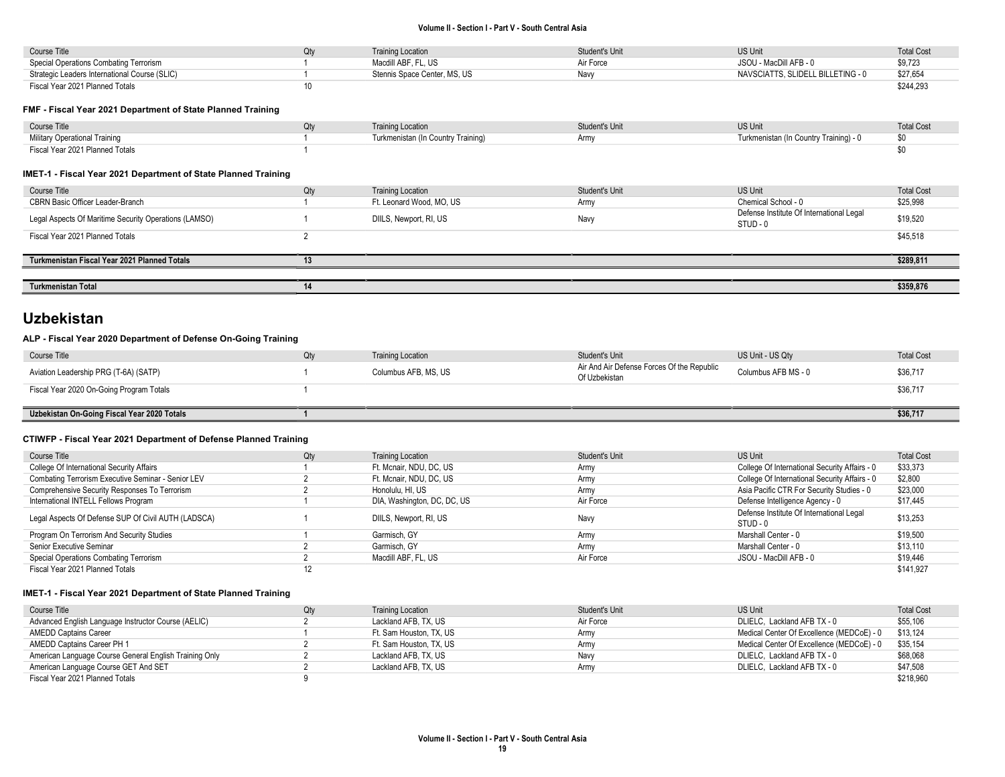| Course Title                                  | Qtv | <b>Training Location</b>     | Student's Unit | <b>US Unit</b>                    | <b>Total Cost</b> |
|-----------------------------------------------|-----|------------------------------|----------------|-----------------------------------|-------------------|
| Special Operations Combating Terrorism        |     | Macdill ABF, FL, US          | Air Force      | JSOU - MacDill AFB - 0            | \$9,723           |
| Strategic Leaders International Course (SLIC) |     | Stennis Space Center, MS, US | Navv           | NAVSCIATTS. SLIDELL BILLETING - 0 | \$27,654          |
| Fiscal Year 2021 Planned Totals               |     |                              |                |                                   | \$244,293         |

#### FMF - Fiscal Year 2021 Department of State Planned Training

| Course Title                    | Qtv | <b>Training Location</b>           | Student's Unit | US Unit                                | <b>Total Cost</b> |
|---------------------------------|-----|------------------------------------|----------------|----------------------------------------|-------------------|
| Military Operational Training   |     | Turkmenistan (In Country Training) | Army           | Turkmenistan (In Country Training) - 0 |                   |
| Fiscal Year 2021 Planned Totals |     |                                    |                |                                        |                   |

#### IMET-1 - Fiscal Year 2021 Department of State Planned Training

| Course Title                                          | Qty | <b>Training Location</b> | Student's Unit | US Unit                                              | <b>Total Cost</b> |
|-------------------------------------------------------|-----|--------------------------|----------------|------------------------------------------------------|-------------------|
| CBRN Basic Officer Leader-Branch                      |     | Ft. Leonard Wood, MO, US | Army           | Chemical School - 0                                  | \$25,998          |
| Legal Aspects Of Maritime Security Operations (LAMSO) |     | DIILS, Newport, RI, US   | Navy           | Defense Institute Of International Legal<br>STUD - 0 | \$19,520          |
| Fiscal Year 2021 Planned Totals                       |     |                          |                |                                                      | \$45,518          |
|                                                       |     |                          |                |                                                      |                   |
| Turkmenistan Fiscal Year 2021 Planned Totals          | 13  |                          |                |                                                      | \$289,811         |
|                                                       |     |                          |                |                                                      |                   |
| <b>Turkmenistan Total</b>                             | 14  |                          |                |                                                      | \$359,876         |

## Uzbekistan

#### ALP - Fiscal Year 2020 Department of Defense On-Going Training

| Course Title                                | Qty | <b>Training Location</b> | Student's Unit                                              | US Unit - US Qtv    | <b>Total Cost</b> |
|---------------------------------------------|-----|--------------------------|-------------------------------------------------------------|---------------------|-------------------|
| Aviation Leadership PRG (T-6A) (SATP)       |     | Columbus AFB, MS, US     | Air And Air Defense Forces Of the Republic<br>Of Uzbekistan | Columbus AFB MS - 0 | \$36,717          |
| Fiscal Year 2020 On-Going Program Totals    |     |                          |                                                             |                     | \$36,717          |
|                                             |     |                          |                                                             |                     |                   |
| Uzbekistan On-Going Fiscal Year 2020 Totals |     |                          |                                                             |                     | \$36,717          |

#### CTIWFP - Fiscal Year 2021 Department of Defense Planned Training

| Course Title                                        | Qty | <b>Training Location</b>    | <b>Student's Unit</b> | US Unit                                              | <b>Total Cost</b> |
|-----------------------------------------------------|-----|-----------------------------|-----------------------|------------------------------------------------------|-------------------|
| College Of International Security Affairs           |     | Ft. Mcnair, NDU, DC, US     | Army                  | College Of International Security Affairs - 0        | \$33,373          |
| Combating Terrorism Executive Seminar - Senior LEV  |     | Ft. Mcnair, NDU, DC, US     | Army                  | College Of International Security Affairs - 0        | \$2,800           |
| Comprehensive Security Responses To Terrorism       |     | Honolulu, HI, US            | Army                  | Asia Pacific CTR For Security Studies - 0            | \$23,000          |
| International INTELL Fellows Program                |     | DIA, Washington, DC, DC, US | Air Force             | Defense Intelligence Agency - 0                      | \$17,445          |
| Legal Aspects Of Defense SUP Of Civil AUTH (LADSCA) |     | DIILS, Newport, RI, US      | Navy                  | Defense Institute Of International Legal<br>STUD - 0 | \$13,253          |
| Program On Terrorism And Security Studies           |     | Garmisch, GY                | Army                  | Marshall Center - 0                                  | \$19,500          |
| Senior Executive Seminar                            |     | Garmisch, GY                | Army                  | Marshall Center - 0                                  | \$13.110          |
| Special Operations Combating Terrorism              |     | Macdill ABF, FL, US         | Air Force             | JSOU - MacDill AFB - 0                               | \$19,446          |
| Fiscal Year 2021 Planned Totals                     |     |                             |                       |                                                      | \$141.927         |

| Course Title                                           | Qtv | <b>Training Location</b> | Student's Unit | US Unit                                   | <b>Total Cost</b> |
|--------------------------------------------------------|-----|--------------------------|----------------|-------------------------------------------|-------------------|
| Advanced English Language Instructor Course (AELIC)    |     | Lackland AFB, TX, US     | Air Force      | DLIELC, Lackland AFB TX - 0               | \$55.106          |
| AMEDD Captains Career                                  |     | Ft. Sam Houston, TX, US  | Army           | Medical Center Of Excellence (MEDCoE) - 0 | \$13.124          |
| AMEDD Captains Career PH 1                             |     | Ft. Sam Houston. TX. US  | Army           | Medical Center Of Excellence (MEDCoE) - 0 | \$35.154          |
| American Language Course General English Training Only |     | Lackland AFB, TX, US     | Navy           | DLIELC, Lackland AFB TX - 0               | \$68,068          |
| American Language Course GET And SET                   |     | Lackland AFB, TX, US     | Armv           | DLIELC, Lackland AFB TX - 0               | \$47,508          |
| Fiscal Year 2021 Planned Totals                        |     |                          |                |                                           | \$218,960         |